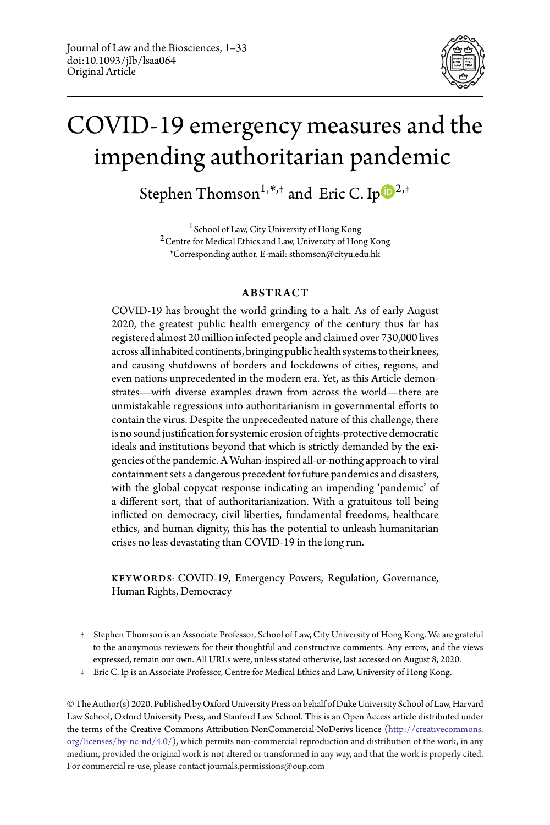

# COVID-19 emergency measures and the impending authoritarian pandemic

Ste[p](http://orcid.org/0000-0001-9832-0288)hen Thomson $^{1, \ast, +}$  and Eric C. Ip $^{{\bf \text{{\small{-}}}}}$ 

1 School of Law, City University of Hong Kong 2Centre for Medical Ethics and Law, University of Hong Kong \*Corresponding author. E-mail: sthomson@cityu.edu.hk

# ABSTRACT

COVID-19 has brought the world grinding to a halt. As of early August 2020, the greatest public health emergency of the century thus far has registered almost 20 million infected people and claimed over 730,000 lives across all inhabited continents, bringing public health systems to their knees, and causing shutdowns of borders and lockdowns of cities, regions, and even nations unprecedented in the modern era. Yet, as this Article demonstrates—with diverse examples drawn from across the world—there are unmistakable regressions into authoritarianism in governmental efforts to contain the virus. Despite the unprecedented nature of this challenge, there is no sound justification for systemic erosion of rights-protective democratic ideals and institutions beyond that which is strictly demanded by the exigencies of the pandemic. A Wuhan-inspired all-or-nothing approach to viral containment sets a dangerous precedent for future pandemics and disasters, with the global copycat response indicating an impending 'pandemic' of a different sort, that of authoritarianization. With a gratuitous toll being inflicted on democracy, civil liberties, fundamental freedoms, healthcare ethics, and human dignity, this has the potential to unleash humanitarian crises no less devastating than COVID-19 in the long run.

KEYWORDS: COVID-19, Emergency Powers, Regulation, Governance, Human Rights, Democracy

† Stephen Thomson is an Associate Professor, School of Law, City University of Hong Kong. We are grateful to the anonymous reviewers for their thoughtful and constructive comments. Any errors, and the views expressed, remain our own. All URLs were, unless stated otherwise, last accessed on August 8, 2020.

‡ Eric C. Ip is an Associate Professor, Centre for Medical Ethics and Law, University of Hong Kong.

© The Author(s) 2020. Published by Oxford University Press on behalf of Duke University School of Law, Harvard Law School, Oxford University Press, and Stanford Law School. This is an Open Access article distributed under the terms of the Creative Commons Attribution NonCommercial-NoDerivs licence [\(http://creativecommons.](http://creativecommons.org/licenses/by-nc-nd/4.0/) [org/licenses/by-nc-nd/4.0/\)](http://creativecommons.org/licenses/by-nc-nd/4.0/), which permits non-commercial reproduction and distribution of the work, in any medium, provided the original work is not altered or transformed in any way, and that the work is properly cited. For commercial re-use, please contact journals.permissions@oup.com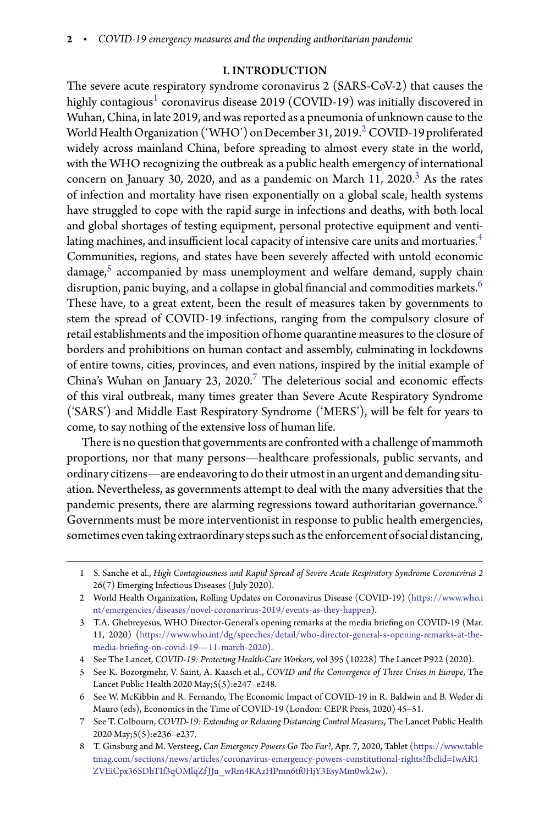# I. INTRODUCTION

The severe acute respiratory syndrome coronavirus 2 (SARS-CoV-2) that causes the highly contagious $^{\rm 1}$  $^{\rm 1}$  $^{\rm 1}$  coronavirus disease 2019 (COVID-19) was initially discovered in Wuhan, China, in late 2019, and was reported as a pneumonia of unknown cause to the World Health Organization ('WHO') on December 31, [2](#page-1-1)019.<sup>2</sup> COVID-19 proliferated widely across mainland China, before spreading to almost every state in the world, with the WHO recognizing the outbreak as a public health emergency of international concern on January [3](#page-1-2)0, 2020, and as a pandemic on March 11, 2020.<sup>3</sup> As the rates of infection and mortality have risen exponentially on a global scale, health systems have struggled to cope with the rapid surge in infections and deaths, with both local and global shortages of testing equipment, personal protective equipment and venti-lating machines, and insufficient local capacity of intensive care units and mortuaries.<sup>[4](#page-1-3)</sup> Communities, regions, and states have been severely affected with untold economic damage,<sup>[5](#page-1-4)</sup> accompanied by mass unemployment and welfare demand, supply chain disruption, panic buying, and a collapse in global financial and commodities markets. $^6$  $^6$ These have, to a great extent, been the result of measures taken by governments to stem the spread of COVID-19 infections, ranging from the compulsory closure of retail establishments and the imposition of home quarantine measures to the closure of borders and prohibitions on human contact and assembly, culminating in lockdowns of entire towns, cities, provinces, and even nations, inspired by the initial example of China's Wuhan on January 23, 2020.<sup>[7](#page-1-6)</sup> The deleterious social and economic effects of this viral outbreak, many times greater than Severe Acute Respiratory Syndrome ('SARS') and Middle East Respiratory Syndrome ('MERS'), will be felt for years to come, to say nothing of the extensive loss of human life.

There is no question that governments are confronted with a challenge of mammoth proportions, nor that many persons—healthcare professionals, public servants, and ordinary citizens—are endeavoringto dotheir utmost in an urgent and demanding situation. Nevertheless, as governments attempt to deal with the many adversities that the pandemic presents, there are alarming regressions toward authoritarian governance. $8$ Governments must be more interventionist in response to public health emergencies, sometimes even taking extraordinary steps such as the enforcement of social distancing,

<span id="page-1-0"></span><sup>1</sup> S. Sanche et al., *High Contagiousness and Rapid Spread of Severe Acute Respiratory Syndrome Coronavirus 2* 26(7) Emerging Infectious Diseases ( July 2020).

<span id="page-1-1"></span><sup>2</sup> World Health Organization, Rolling Updates on Coronavirus Disease (COVID-19) [\(https://www.who.i](https://www.who.int/emergencies/diseases/novel-coronavirus-2019/events-as-they-happen) [nt/emergencies/diseases/novel-coronavirus-2019/events-as-they-happen\)](https://www.who.int/emergencies/diseases/novel-coronavirus-2019/events-as-they-happen).

<span id="page-1-2"></span><sup>3</sup> T.A. Ghebreyesus, WHO Director-General's opening remarks at the media briefing on COVID-19 (Mar. 11, 2020) [\(https://www.who.int/dg/speeches/detail/who-director-general-s-opening-remarks-at-the](https://www.who.int/dg/speeches/detail/who-director-general-s-opening-remarks-at-the-media-briefing-on-covid-19---11-march-2020)media-briefi[ng-on-covid-19---11-march-2020\)](https://www.who.int/dg/speeches/detail/who-director-general-s-opening-remarks-at-the-media-briefing-on-covid-19---11-march-2020).

<sup>4</sup> See The Lancet, *COVID-19: Protecting Health-Care Workers*, vol 395 (10228) The Lancet P922 (2020).

<span id="page-1-4"></span><span id="page-1-3"></span><sup>5</sup> See K. Bozorgmehr, V. Saint, A. Kaasch et al., *COVID and the Convergence of Three Crises in Europe*, The Lancet Public Health 2020 May;5(5):e247–e248.

<span id="page-1-5"></span><sup>6</sup> See W. McKibbin and R. Fernando, The Economic Impact of COVID-19 in R. Baldwin and B. Weder di Mauro (eds), Economics in the Time of COVID-19 (London: CEPR Press, 2020) 45–51.

<span id="page-1-6"></span><sup>7</sup> See T. Colbourn, *COVID-19: Extending or Relaxing Distancing Control Measures*, The Lancet Public Health 2020 May;5(5):e236–e237.

<span id="page-1-7"></span><sup>8</sup> T. Ginsburg and M. Versteeg, *Can Emergency Powers Go Too Far?*, Apr. 7, 2020, Tablet [\(https://www.table](https://www.tabletmag.com/sections/news/articles/coronavirus-emergency-powers-constitutional-rights?fbclid=IwAR1ZVEiCpx36SDhTIf3qOMlqZfJJu_wRm4KAzHPmn6tf0HjY3EsyMm0wk2w) tmag.com/sections/news/articles/coronavirus-emergency-powers-constitutional-rights?fbclid=IwAR1 [ZVEiCpx36SDhTIf3qOMlqZf JJu\\_wRm4KAzHPmn6tf0HjY3EsyMm0wk2w\)](https://www.tabletmag.com/sections/news/articles/coronavirus-emergency-powers-constitutional-rights?fbclid=IwAR1ZVEiCpx36SDhTIf3qOMlqZfJJu_wRm4KAzHPmn6tf0HjY3EsyMm0wk2w).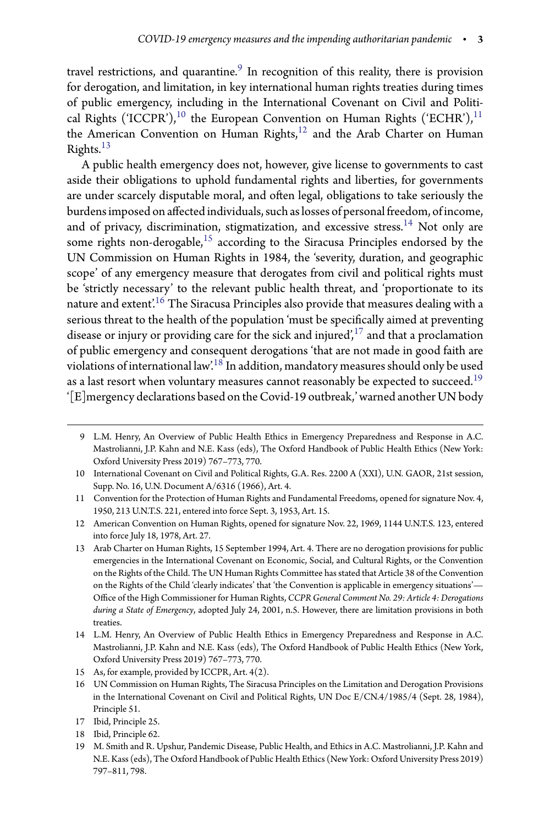travel restrictions, and quarantine. $^9$  $^9$  In recognition of this reality, there is provision for derogation, and limitation, in key international human rights treaties during times of public emergency, including in the International Covenant on Civil and Politi-cal Rights ('ICCPR'),<sup>[10](#page-2-1)</sup> the European Convention on Human Rights ('ECHR'),<sup>[11](#page-2-2)</sup> the American Convention on Human Rights,<sup>[12](#page-2-3)</sup> and the Arab Charter on Human Rights.<sup>[13](#page-2-4)</sup>

A public health emergency does not, however, give license to governments to cast aside their obligations to uphold fundamental rights and liberties, for governments are under scarcely disputable moral, and often legal, obligations to take seriously the burdens imposed on affected individuals, such as losses of personal freedom, of income, and of privacy, discrimination, stigmatization, and excessive stress.<sup>[14](#page-2-5)</sup> Not only are some rights non-derogable,<sup>[15](#page-2-6)</sup> according to the Siracusa Principles endorsed by the UN Commission on Human Rights in 1984, the 'severity, duration, and geographic scope' of any emergency measure that derogates from civil and political rights must be 'strictly necessary' to the relevant public health threat, and 'proportionate to its nature and  $ext{ext{ert}}^{16}$  $ext{ext{ert}}^{16}$  $ext{ext{ert}}^{16}$  The Siracusa Principles also provide that measures dealing with a serious threat to the health of the population 'must be specifically aimed at preventing disease or injury or providing care for the sick and injured', $17$  and that a proclamation of public emergency and consequent derogations 'that are not made in good faith are violations of international law'.[18](#page-2-9) In addition, mandatory measures should only be used as a last resort when voluntary measures cannot reasonably be expected to succeed.<sup>[19](#page-2-10)</sup> '[E]mergency declarations based on the Covid-19 outbreak,' warned another UN body

<span id="page-2-0"></span><sup>9</sup> L.M. Henry, An Overview of Public Health Ethics in Emergency Preparedness and Response in A.C. Mastrolianni, J.P. Kahn and N.E. Kass (eds), The Oxford Handbook of Public Health Ethics (New York: Oxford University Press 2019) 767–773, 770.

<span id="page-2-1"></span><sup>10</sup> International Covenant on Civil and Political Rights, G.A. Res. 2200 A (XXI), U.N. GAOR, 21st session, Supp. No. 16, U.N. Document A/6316 (1966), Art. 4.

<span id="page-2-2"></span><sup>11</sup> Convention for the Protection of Human Rights and Fundamental Freedoms, opened for signature Nov. 4, 1950, 213 U.N.T.S. 221, entered into force Sept. 3, 1953, Art. 15.

<span id="page-2-3"></span><sup>12</sup> American Convention on Human Rights, opened for signature Nov. 22, 1969, 1144 U.N.T.S. 123, entered into force July 18, 1978, Art. 27.

<span id="page-2-4"></span><sup>13</sup> Arab Charter on Human Rights, 15 September 1994, Art. 4. There are no derogation provisions for public emergencies in the International Covenant on Economic, Social, and Cultural Rights, or the Convention on the Rights of the Child. The UN Human Rights Committee has stated that Article 38 of the Convention on the Rights of the Child 'clearly indicates' that 'the Convention is applicable in emergency situations'— Oce of the High Commissioner for Human Rights, *CCPR General Comment No. 29: Article 4: Derogations during a State of Emergency*, adopted July 24, 2001, n.5. However, there are limitation provisions in both treaties.

<span id="page-2-5"></span><sup>14</sup> L.M. Henry, An Overview of Public Health Ethics in Emergency Preparedness and Response in A.C. Mastrolianni, J.P. Kahn and N.E. Kass (eds), The Oxford Handbook of Public Health Ethics (New York, Oxford University Press 2019) 767–773, 770.

<sup>15</sup> As, for example, provided by ICCPR, Art. 4(2).

<span id="page-2-7"></span><span id="page-2-6"></span><sup>16</sup> UN Commission on Human Rights, The Siracusa Principles on the Limitation and Derogation Provisions in the International Covenant on Civil and Political Rights, UN Doc E/CN.4/1985/4 (Sept. 28, 1984), Principle 51.

<sup>17</sup> Ibid, Principle 25.

<span id="page-2-8"></span><sup>18</sup> Ibid, Principle 62.

<span id="page-2-10"></span><span id="page-2-9"></span><sup>19</sup> M. Smith and R. Upshur, Pandemic Disease, Public Health, and Ethics in A.C. Mastrolianni, J.P. Kahn and N.E. Kass (eds), The Oxford Handbook of Public Health Ethics (New York: Oxford University Press 2019) 797–811, 798.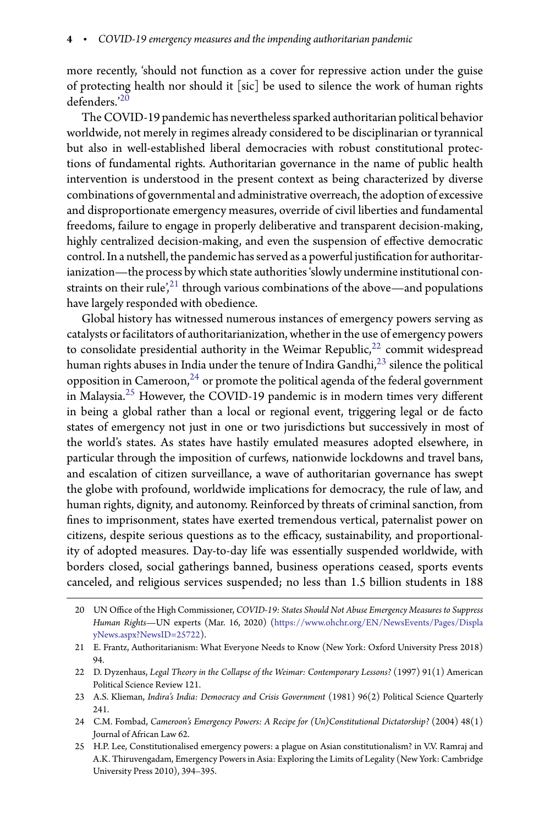more recently, 'should not function as a cover for repressive action under the guise of protecting health nor should it [sic] be used to silence the work of human rights defenders.'[20](#page-3-0)

The COVID-19 pandemic has nevertheless sparked authoritarian political behavior worldwide, not merely in regimes already considered to be disciplinarian or tyrannical but also in well-established liberal democracies with robust constitutional protections of fundamental rights. Authoritarian governance in the name of public health intervention is understood in the present context as being characterized by diverse combinations of governmental and administrative overreach, the adoption of excessive and disproportionate emergency measures, override of civil liberties and fundamental freedoms, failure to engage in properly deliberative and transparent decision-making, highly centralized decision-making, and even the suspension of effective democratic control. In a nutshell, the pandemic has served as a powerful justification for authoritarianization—the process by which state authorities 'slowly undermine institutional con-straints on their rule<sup>',[21](#page-3-1)</sup> through various combinations of the above—and populations have largely responded with obedience.

Global history has witnessed numerous instances of emergency powers serving as catalysts or facilitators of authoritarianization, whether in the use of emergency powers to consolidate presidential authority in the Weimar Republic, $^{22}$  $^{22}$  $^{22}$  commit widespread human rights abuses in India under the tenure of Indira Gandhi, $^{23}$  $^{23}$  $^{23}$  silence the political opposition in Cameroon, $24$  or promote the political agenda of the federal government in Malaysia.<sup>[25](#page-3-5)</sup> However, the COVID-19 pandemic is in modern times very different in being a global rather than a local or regional event, triggering legal or de facto states of emergency not just in one or two jurisdictions but successively in most of the world's states. As states have hastily emulated measures adopted elsewhere, in particular through the imposition of curfews, nationwide lockdowns and travel bans, and escalation of citizen surveillance, a wave of authoritarian governance has swept the globe with profound, worldwide implications for democracy, the rule of law, and human rights, dignity, and autonomy. Reinforced by threats of criminal sanction, from -nes to imprisonment, states have exerted tremendous vertical, paternalist power on citizens, despite serious questions as to the efficacy, sustainability, and proportionality of adopted measures. Day-to-day life was essentially suspended worldwide, with borders closed, social gatherings banned, business operations ceased, sports events canceled, and religious services suspended; no less than 1.5 billion students in 188

- <span id="page-3-3"></span>23 A.S. Klieman, *Indira's India: Democracy and Crisis Government* (1981) 96(2) Political Science Quarterly 241.
- <span id="page-3-4"></span>24 C.M. Fombad, *Cameroon's Emergency Powers: A Recipe for (Un)Constitutional Dictatorship?* (2004) 48(1) Journal of African Law 62.
- <span id="page-3-5"></span>25 H.P. Lee, Constitutionalised emergency powers: a plague on Asian constitutionalism? in V.V. Ramraj and A.K. Thiruvengadam, Emergency Powers in Asia: Exploring the Limits of Legality (New York: Cambridge University Press 2010), 394–395.

<span id="page-3-0"></span><sup>20</sup> UN Oce of the High Commissioner, *COVID-19: States Should Not Abuse Emergency Measures to Suppress Human Rights*—UN experts (Mar. 16, 2020) [\(https://www.ohchr.org/EN/NewsEvents/Pages/Displa](https://www.ohchr.org/EN/NewsEvents/Pages/DisplayNews.aspx?NewsID=25722) [yNews.aspx?NewsID=25722\)](https://www.ohchr.org/EN/NewsEvents/Pages/DisplayNews.aspx?NewsID=25722).

<span id="page-3-1"></span><sup>21</sup> E. Frantz, Authoritarianism: What Everyone Needs to Know (New York: Oxford University Press 2018) 94.

<span id="page-3-2"></span><sup>22</sup> D. Dyzenhaus, *Legal Theory in the Collapse of the Weimar: Contemporary Lessons?* (1997) 91(1) American Political Science Review 121.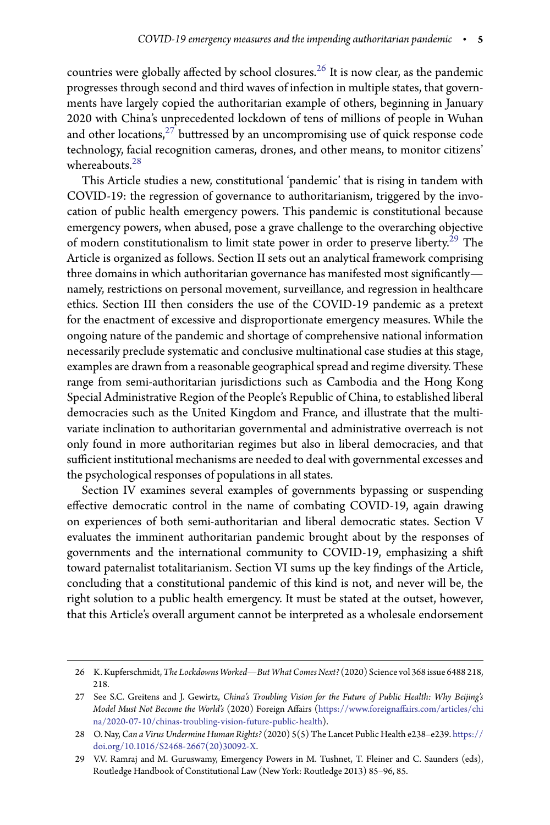countries were globally affected by school closures.<sup>[26](#page-4-0)</sup> It is now clear, as the pandemic progresses through second and third waves of infection in multiple states, that governments have largely copied the authoritarian example of others, beginning in January 2020 with China's unprecedented lockdown of tens of millions of people in Wuhan and other locations, $27$  buttressed by an uncompromising use of quick response code technology, facial recognition cameras, drones, and other means, to monitor citizens' whereabouts.<sup>[28](#page-4-2)</sup>

This Article studies a new, constitutional 'pandemic' that is rising in tandem with COVID-19: the regression of governance to authoritarianism, triggered by the invocation of public health emergency powers. This pandemic is constitutional because emergency powers, when abused, pose a grave challenge to the overarching objective of modern constitutionalism to limit state power in order to preserve liberty.<sup>[29](#page-4-3)</sup> The Article is organized as follows. Section II sets out an analytical framework comprising three domains in which authoritarian governance has manifested most significantly namely, restrictions on personal movement, surveillance, and regression in healthcare ethics. Section III then considers the use of the COVID-19 pandemic as a pretext for the enactment of excessive and disproportionate emergency measures. While the ongoing nature of the pandemic and shortage of comprehensive national information necessarily preclude systematic and conclusive multinational case studies at this stage, examples are drawn from a reasonable geographical spread and regime diversity. These range from semi-authoritarian jurisdictions such as Cambodia and the Hong Kong Special Administrative Region of the People's Republic of China, to established liberal democracies such as the United Kingdom and France, and illustrate that the multivariate inclination to authoritarian governmental and administrative overreach is not only found in more authoritarian regimes but also in liberal democracies, and that sufficient institutional mechanisms are needed to deal with governmental excesses and the psychological responses of populations in all states.

Section IV examines several examples of governments bypassing or suspending effective democratic control in the name of combating COVID-19, again drawing on experiences of both semi-authoritarian and liberal democratic states. Section V evaluates the imminent authoritarian pandemic brought about by the responses of governments and the international community to COVID-19, emphasizing a shi toward paternalist totalitarianism. Section VI sums up the key findings of the Article, concluding that a constitutional pandemic of this kind is not, and never will be, the right solution to a public health emergency. It must be stated at the outset, however, that this Article's overall argument cannot be interpreted as a wholesale endorsement

<span id="page-4-0"></span><sup>26</sup> K. Kupferschmidt,*The Lockdowns Worked—But What Comes Next?* (2020) Science vol 368 issue 6488 218, 218.

<span id="page-4-1"></span><sup>27</sup> See S.C. Greitens and J. Gewirtz, *China's Troubling Vision for the Future of Public Health: Why Beijing's Model Must Not Become the World's* (2020) Foreign Aairs [\(https://www.foreignaairs.com/articles/chi](https://www.foreignaffairs.com/articles/china/2020-07-10/chinas-troubling-vision-future-public-health) [na/2020-07-10/chinas-troubling-vision-future-public-health\)](https://www.foreignaffairs.com/articles/china/2020-07-10/chinas-troubling-vision-future-public-health).

<span id="page-4-2"></span><sup>28</sup> O. Nay, *Can a Virus Undermine Human Rights?* (2020) 5(5) The Lancet Public Health e238–e239. [https://](https://doi.org/10.1016/S2468-2667(20)30092-X) [doi.org/10.1016/S2468-2667\(20\)30092-X.](https://doi.org/10.1016/S2468-2667(20)30092-X)

<span id="page-4-3"></span><sup>29</sup> V.V. Ramraj and M. Guruswamy, Emergency Powers in M. Tushnet, T. Fleiner and C. Saunders (eds), Routledge Handbook of Constitutional Law (New York: Routledge 2013) 85–96, 85.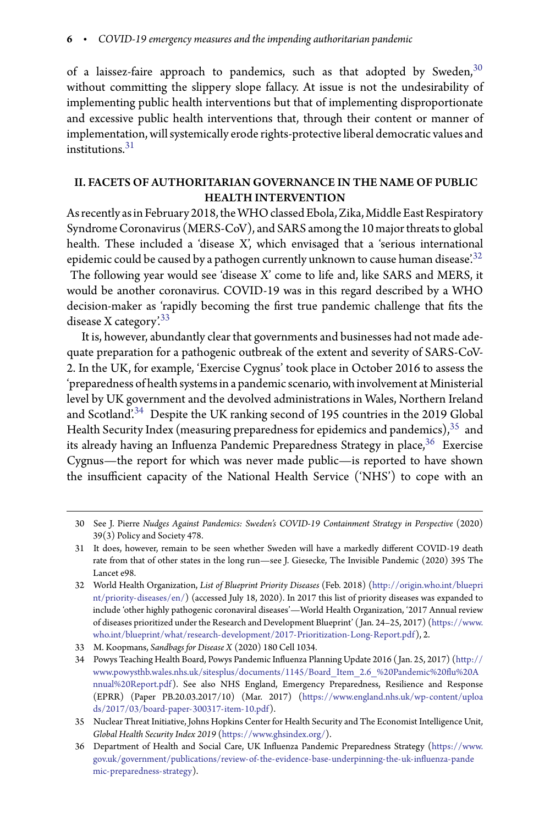of a laissez-faire approach to pandemics, such as that adopted by Sweden,  $30$ without committing the slippery slope fallacy. At issue is not the undesirability of implementing public health interventions but that of implementing disproportionate and excessive public health interventions that, through their content or manner of implementation, will systemically erode rights-protective liberal democratic values and institutions  $31$ 

# II. FACETS OF AUTHORITARIAN GOVERNANCE IN THE NAME OF PUBLIC HEALTH INTERVENTION

As recently as in February 2018, the WHO classed Ebola, Zika, Middle East Respiratory Syndrome Coronavirus (MERS-CoV), and SARS among the 10 major threats to global health. These included a 'disease X', which envisaged that a 'serious international epidemic could be caused by a pathogen currently unknown to cause human disease.<sup>[32](#page-5-2)</sup> The following year would see 'disease X' come to life and, like SARS and MERS, it would be another coronavirus. COVID-19 was in this regard described by a WHO

decision-maker as 'rapidly becoming the first true pandemic challenge that fits the disease X category. $33$ It is, however, abundantly clear that governments and businesses had not made ade-

quate preparation for a pathogenic outbreak of the extent and severity of SARS-CoV-2. In the UK, for example, 'Exercise Cygnus' took place in October 2016 to assess the 'preparedness of health systems in a pandemic scenario, with involvement at Ministerial level by UK government and the devolved administrations in Wales, Northern Ireland and Scotland'.[34](#page-5-4) Despite the UK ranking second of 195 countries in the 2019 Global Health Security Index (measuring preparedness for epidemics and pandemics),  $35$  and its already having an Influenza Pandemic Preparedness Strategy in place,<sup>[36](#page-5-6)</sup> Exercise Cygnus—the report for which was never made public—is reported to have shown the insufficient capacity of the National Health Service ('NHS') to cope with an

<span id="page-5-0"></span><sup>30</sup> See J. Pierre *Nudges Against Pandemics: Sweden's COVID-19 Containment Strategy in Perspective* (2020) 39(3) Policy and Society 478.

<span id="page-5-1"></span><sup>31</sup> It does, however, remain to be seen whether Sweden will have a markedly different COVID-19 death rate from that of other states in the long run—see J. Giesecke, The Invisible Pandemic (2020) 395 The Lancet e98.

<span id="page-5-2"></span><sup>32</sup> World Health Organization, *List of Blueprint Priority Diseases* (Feb. 2018) [\(http://origin.who.int/bluepri](http://origin.who.int/blueprint/priority-diseases/en/) [nt/priority-diseases/en/\)](http://origin.who.int/blueprint/priority-diseases/en/) (accessed July 18, 2020). In 2017 this list of priority diseases was expanded to include 'other highly pathogenic coronaviral diseases'—World Health Organization, '2017 Annual review of diseases prioritized under the Research and Development Blueprint' ( Jan. 24–25, 2017) [\(https://www.](https://www.who.int/blueprint/what/research-development/2017-Prioritization-Long-Report.pdf) [who.int/blueprint/what/research-development/2017-Prioritization-Long-Report.pdf\)](https://www.who.int/blueprint/what/research-development/2017-Prioritization-Long-Report.pdf), 2.

<sup>33</sup> M. Koopmans, *Sandbags for Disease X* (2020) 180 Cell 1034.

<span id="page-5-4"></span><span id="page-5-3"></span><sup>34</sup> Powys Teaching Health Board, Powys Pandemic Influenza Planning Update 2016 (Jan. 25, 2017) [\(http://](http://www.powysthb.wales.nhs.uk/sitesplus/documents/1145/Board_Item_2.6_%20Pandemic%20flu%20Annual%20Report.pdf) www.powysthb.wales.nhs.uk/sitesplus/documents/1145/Board\_Item\_2.6\_%20Pandemic%20flu%20A [nnual%20Report.pdf\)](http://www.powysthb.wales.nhs.uk/sitesplus/documents/1145/Board_Item_2.6_%20Pandemic%20flu%20Annual%20Report.pdf). See also NHS England, Emergency Preparedness, Resilience and Response (EPRR) (Paper PB.20.03.2017/10) (Mar. 2017) [\(https://www.england.nhs.uk/wp-content/uploa](https://www.england.nhs.uk/wp-content/uploads/2017/03/board-paper-300317-item-10.pdf) [ds/2017/03/board-paper-300317-item-10.pdf\)](https://www.england.nhs.uk/wp-content/uploads/2017/03/board-paper-300317-item-10.pdf).

<span id="page-5-5"></span><sup>35</sup> Nuclear Threat Initiative, Johns Hopkins Center for Health Security and The Economist Intelligence Unit, *Global Health Security Index 2019* [\(https://www.ghsindex.org/\)](https://www.ghsindex.org/).

<span id="page-5-6"></span><sup>36</sup> Department of Health and Social Care, UK Influenza Pandemic Preparedness Strategy [\(https://www.](https://www.gov.uk/government/publications/review-of-the-evidence-base-underpinning-the-uk-influenza-pandemic-preparedness-strategy) gov.uk/government/publications/review-of-the-evidence-base-underpinning-the-uk-influenza-pande [mic-preparedness-strategy\)](https://www.gov.uk/government/publications/review-of-the-evidence-base-underpinning-the-uk-influenza-pandemic-preparedness-strategy).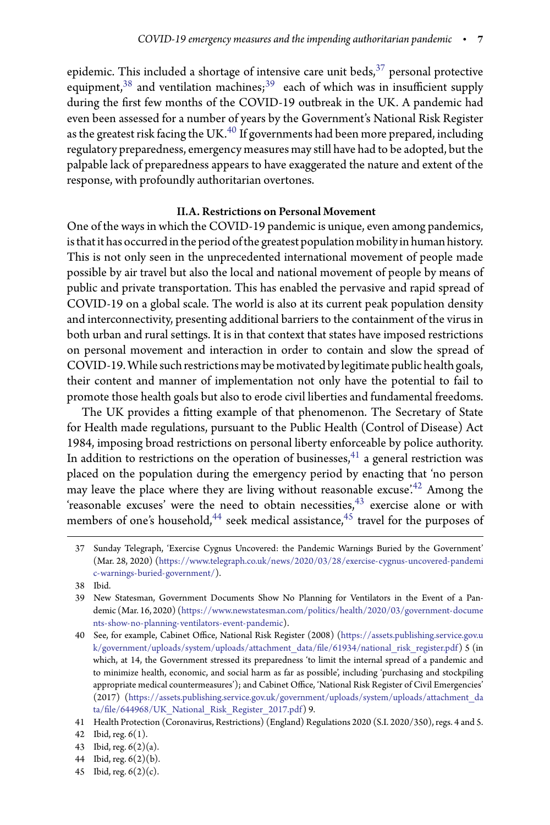epidemic. This included a shortage of intensive care unit beds, $^{37}$  $^{37}$  $^{37}$  personal protective equipment,  $38$  and ventilation machines;  $39$  each of which was in insufficient supply during the first few months of the COVID-19 outbreak in the UK. A pandemic had even been assessed for a number of years by the Government's National Risk Register as the greatest risk facing the UK. $^{40}$  $^{40}$  $^{40}$  If governments had been more prepared, including regulatory preparedness, emergency measures may still have had to be adopted, but the palpable lack of preparedness appears to have exaggerated the nature and extent of the response, with profoundly authoritarian overtones.

# II.A. Restrictions on Personal Movement

One of the ways in which the COVID-19 pandemic is unique, even among pandemics, is that it has occurred in the period of the greatest population mobility in human history. This is not only seen in the unprecedented international movement of people made possible by air travel but also the local and national movement of people by means of public and private transportation. This has enabled the pervasive and rapid spread of COVID-19 on a global scale. The world is also at its current peak population density and interconnectivity, presenting additional barriers to the containment of the virus in both urban and rural settings. It is in that context that states have imposed restrictions on personal movement and interaction in order to contain and slow the spread of COVID-19.While such restrictions may be motivated by legitimate public health goals, their content and manner of implementation not only have the potential to fail to promote those health goals but also to erode civil liberties and fundamental freedoms.

The UK provides a fitting example of that phenomenon. The Secretary of State for Health made regulations, pursuant to the Public Health (Control of Disease) Act 1984, imposing broad restrictions on personal liberty enforceable by police authority. In addition to restrictions on the operation of businesses, $^{41}$  $^{41}$  $^{41}$  a general restriction was placed on the population during the emergency period by enacting that 'no person may leave the place where they are living without reasonable excuse.<sup> $242$  $242$ </sup> Among the 'reasonable excuses' were the need to obtain necessities,<sup>[43](#page-6-6)</sup> exercise alone or with members of one's household,<sup>[44](#page-6-7)</sup> seek medical assistance,<sup>[45](#page-6-8)</sup> travel for the purposes of

<span id="page-6-8"></span><span id="page-6-7"></span>45 Ibid, reg. 6(2)(c).

<span id="page-6-0"></span><sup>37</sup> Sunday Telegraph, 'Exercise Cygnus Uncovered: the Pandemic Warnings Buried by the Government' (Mar. 28, 2020) [\(https://www.telegraph.co.uk/news/2020/03/28/exercise-cygnus-uncovered-pandemi](https://www.telegraph.co.uk/news/2020/03/28/exercise-cygnus-uncovered-pandemic-warnings-buried-government/) [c-warnings-buried-government/\)](https://www.telegraph.co.uk/news/2020/03/28/exercise-cygnus-uncovered-pandemic-warnings-buried-government/).

<sup>38</sup> Ibid.

<span id="page-6-2"></span><span id="page-6-1"></span><sup>39</sup> New Statesman, Government Documents Show No Planning for Ventilators in the Event of a Pandemic (Mar. 16, 2020) [\(https://www.newstatesman.com/politics/health/2020/03/government-docume](https://www.newstatesman.com/politics/health/2020/03/government-documents-show-no-planning-ventilators-event-pandemic) [nts-show-no-planning-ventilators-event-pandemic\)](https://www.newstatesman.com/politics/health/2020/03/government-documents-show-no-planning-ventilators-event-pandemic).

<span id="page-6-3"></span><sup>40</sup> See, for example, Cabinet Office, National Risk Register (2008) [\(https://assets.publishing.service.gov.u](https://assets.publishing.service.gov.uk/government/uploads/system/uploads/attachment_data/file/61934/national_risk_register.pdf) [k/government/uploads/system/uploads/attachment\\_data/-](https://assets.publishing.service.gov.uk/government/uploads/system/uploads/attachment_data/file/61934/national_risk_register.pdf)le/61934/national\_risk\_register.pdf) 5 (in which, at 14, the Government stressed its preparedness 'to limit the internal spread of a pandemic and to minimize health, economic, and social harm as far as possible', including 'purchasing and stockpiling appropriate medical countermeasures'); and Cabinet Office, 'National Risk Register of Civil Emergencies' (2017) [\(https://assets.publishing.service.gov.uk/government/uploads/system/uploads/attachment\\_da](https://assets.publishing.service.gov.uk/government/uploads/system/uploads/attachment_data/file/644968/UK_National_Risk_Register_2017.pdf) ta/fi[le/644968/UK\\_National\\_Risk\\_Register\\_2017.pdf\)](https://assets.publishing.service.gov.uk/government/uploads/system/uploads/attachment_data/file/644968/UK_National_Risk_Register_2017.pdf) 9.

<sup>41</sup> Health Protection (Coronavirus, Restrictions) (England) Regulations 2020 (S.I. 2020/350), regs. 4 and 5.

<span id="page-6-4"></span><sup>42</sup> Ibid, reg. 6(1).

<span id="page-6-5"></span><sup>43</sup> Ibid, reg. 6(2)(a).

<span id="page-6-6"></span><sup>44</sup> Ibid, reg. 6(2)(b).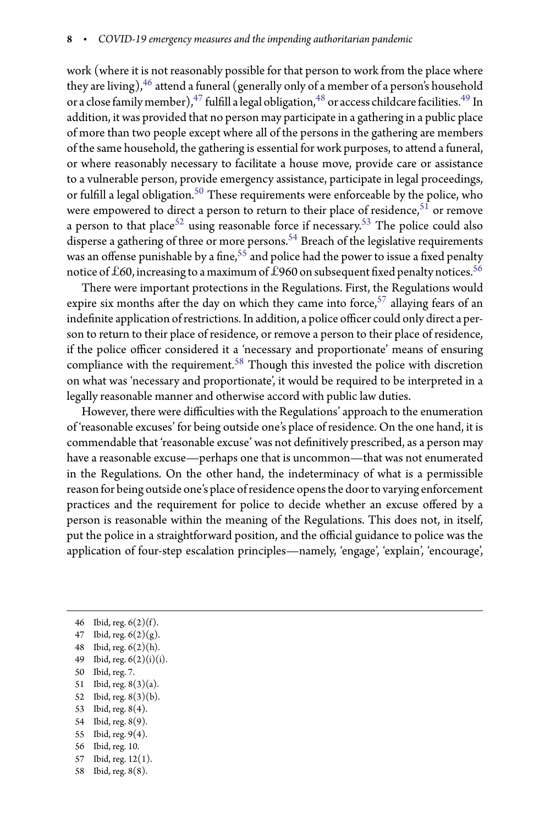work (where it is not reasonably possible for that person to work from the place where they are living),  $46$  attend a funeral (generally only of a member of a person's household or a close family member), $^{47}$  $^{47}$  $^{47}$  fulfill a legal obligation, $^{48}$  $^{48}$  $^{48}$  or access childcare facilities. $^{49}$  $^{49}$  $^{49}$  In addition, it was provided that no person may participate in a gathering in a public place of more than two people except where all of the persons in the gathering are members of the same household, the gathering is essential for work purposes, to attend a funeral, or where reasonably necessary to facilitate a house move, provide care or assistance to a vulnerable person, provide emergency assistance, participate in legal proceedings, or fulfill a legal obligation. $^{50}$  $^{50}$  $^{50}$  These requirements were enforceable by the police, who were empowered to direct a person to return to their place of residence,  $51$  or remove a person to that place<sup>[52](#page-7-6)</sup> using reasonable force if necessary.<sup>[53](#page-7-7)</sup> The police could also disperse a gathering of three or more persons.<sup>[54](#page-7-8)</sup> Breach of the legislative requirements was an offense punishable by a fine, $^{55}$  $^{55}$  $^{55}$  and police had the power to issue a fixed penalty notice of  $\pounds 60$ , increasing to a maximum of  $\hat{\pounds}$ 960 on subsequent fixed penalty notices.  $^{56}$  $^{56}$  $^{56}$ 

There were important protections in the Regulations. First, the Regulations would expire six months after the day on which they came into force,  $57$  allaying fears of an indefinite application of restrictions. In addition, a police officer could only direct a person to return to their place of residence, or remove a person to their place of residence, if the police officer considered it a 'necessary and proportionate' means of ensuring compliance with the requirement.<sup>[58](#page-7-12)</sup> Though this invested the police with discretion on what was 'necessary and proportionate', it would be required to be interpreted in a legally reasonable manner and otherwise accord with public law duties.

However, there were difficulties with the Regulations' approach to the enumeration of 'reasonable excuses' for being outside one's place of residence. On the one hand, it is commendable that 'reasonable excuse' was not definitively prescribed, as a person may have a reasonable excuse—perhaps one that is uncommon—that was not enumerated in the Regulations. On the other hand, the indeterminacy of what is a permissible reason for being outside one's place of residence opensthe doorto varying enforcement practices and the requirement for police to decide whether an excuse offered by a person is reasonable within the meaning of the Regulations. This does not, in itself, put the police in a straightforward position, and the official guidance to police was the application of four-step escalation principles—namely, 'engage', 'explain', 'encourage',

46 Ibid, reg. 6(2)(f).

- <span id="page-7-3"></span>50 Ibid, reg. 7.
- <span id="page-7-4"></span>51 Ibid, reg. 8(3)(a). 52 Ibid, reg. 8(3)(b).
- <span id="page-7-6"></span><span id="page-7-5"></span>53 Ibid, reg. 8(4).
- <span id="page-7-7"></span>54 Ibid, reg. 8(9).
- <span id="page-7-8"></span>55 Ibid, reg. 9(4).
- <span id="page-7-9"></span>56 Ibid, reg. 10.
- <span id="page-7-10"></span>57 Ibid, reg. 12(1).
- <span id="page-7-12"></span><span id="page-7-11"></span>58 Ibid, reg. 8(8).

<span id="page-7-0"></span><sup>47</sup> Ibid, reg.  $6(2)(g)$ .

<span id="page-7-1"></span><sup>48</sup> Ibid, reg. 6(2)(h).

<span id="page-7-2"></span><sup>49</sup> Ibid, reg. 6(2)(i)(i).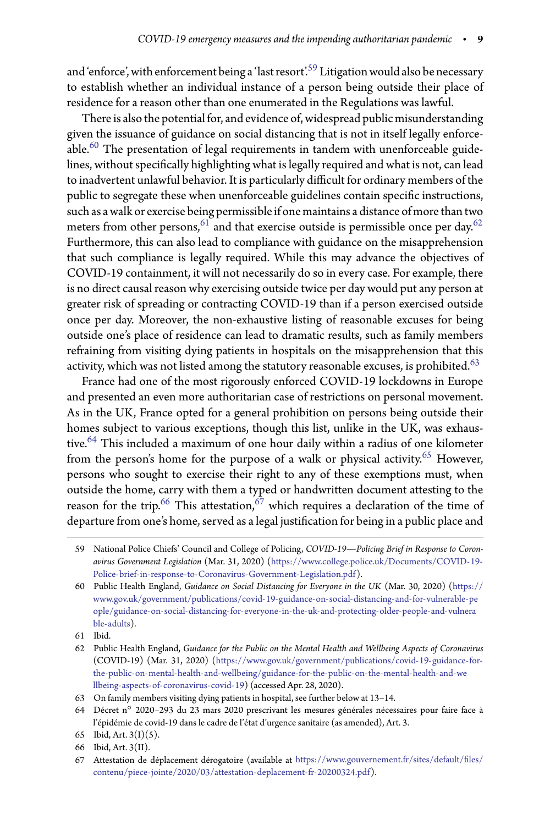and 'enforce', with enforcement being a 'last resort'.<sup>[59](#page-8-0)</sup> Litigation would also be necessary to establish whether an individual instance of a person being outside their place of residence for a reason other than one enumerated in the Regulations was lawful.

There is alsothe potential for, and evidence of, widespread public misunderstanding given the issuance of guidance on social distancing that is not in itself legally enforceable. $^{60}$  $^{60}$  $^{60}$  The presentation of legal requirements in tandem with unenforceable guidelines, without specifically highlighting what is legally required and what is not, can lead to inadvertent unlawful behavior. It is particularly difficult for ordinary members of the public to segregate these when unenforceable guidelines contain specific instructions, such as a walk or exercise being permissible if one maintains a distance of morethantwo meters from other persons,  $61$  and that exercise outside is permissible once per day.  $62$ Furthermore, this can also lead to compliance with guidance on the misapprehension that such compliance is legally required. While this may advance the objectives of COVID-19 containment, it will not necessarily do so in every case. For example, there is no direct causal reason why exercising outside twice per day would put any person at greater risk of spreading or contracting COVID-19 than if a person exercised outside once per day. Moreover, the non-exhaustive listing of reasonable excuses for being outside one's place of residence can lead to dramatic results, such as family members refraining from visiting dying patients in hospitals on the misapprehension that this activity, which was not listed among the statutory reasonable excuses, is prohibited. $^{63}$  $^{63}$  $^{63}$ 

France had one of the most rigorously enforced COVID-19 lockdowns in Europe and presented an even more authoritarian case of restrictions on personal movement. As in the UK, France opted for a general prohibition on persons being outside their homes subject to various exceptions, though this list, unlike in the UK, was exhaustive.[64](#page-8-5) This included a maximum of one hour daily within a radius of one kilometer from the person's home for the purpose of a walk or physical activity.<sup>[65](#page-8-6)</sup> However, persons who sought to exercise their right to any of these exemptions must, when outside the home, carry with them a typed or handwritten document attesting to the reason for the trip.<sup>[66](#page-8-7)</sup> This attestation,  $67$  which requires a declaration of the time of departure from one's home, served as a legal justification for being in a public place and

<span id="page-8-0"></span><sup>59</sup> National Police Chiefs' Council and College of Policing, *COVID-19—Policing Brief in Response to Coronavirus Government Legislation* (Mar. 31, 2020) [\(https://www.college.police.uk/Documents/COVID-19-](https://www.college.police.uk/Documents/COVID-19-Police-brief-in-response-to-Coronavirus-Government-Legislation.pdf) [Police-brief-in-response-to-Coronavirus-Government-Legislation.pdf\)](https://www.college.police.uk/Documents/COVID-19-Police-brief-in-response-to-Coronavirus-Government-Legislation.pdf).

<span id="page-8-1"></span><sup>60</sup> Public Health England, *Guidance on Social Distancing for Everyone in the UK* (Mar. 30, 2020) [\(https://](https://www.gov.uk/government/publications/covid-19-guidance-on-social-distancing-and-for-vulnerable-people/guidance-on-social-distancing-for-everyone-in-the-uk-and-protecting-older-people-and-vulnerable-adults) [www.gov.uk/government/publications/covid-19-guidance-on-social-distancing-and-for-vulnerable-pe](https://www.gov.uk/government/publications/covid-19-guidance-on-social-distancing-and-for-vulnerable-people/guidance-on-social-distancing-for-everyone-in-the-uk-and-protecting-older-people-and-vulnerable-adults) [ople/guidance-on-social-distancing-for-everyone-in-the-uk-and-protecting-older-people-and-vulnera](https://www.gov.uk/government/publications/covid-19-guidance-on-social-distancing-and-for-vulnerable-people/guidance-on-social-distancing-for-everyone-in-the-uk-and-protecting-older-people-and-vulnerable-adults) [ble-adults\)](https://www.gov.uk/government/publications/covid-19-guidance-on-social-distancing-and-for-vulnerable-people/guidance-on-social-distancing-for-everyone-in-the-uk-and-protecting-older-people-and-vulnerable-adults).

<sup>61</sup> Ibid.

<span id="page-8-3"></span><span id="page-8-2"></span><sup>62</sup> Public Health England, *Guidance for the Public on the Mental Health and Wellbeing Aspects of Coronavirus* (COVID-19) (Mar. 31, 2020) [\(https://www.gov.uk/government/publications/covid-19-guidance-for](https://www.gov.uk/government/publications/covid-19-guidance-for-the-public-on-mental-health-and-wellbeing/guidance-for-the-public-on-the-mental-health-and-wellbeing-aspects-of-coronavirus-covid-19)[the-public-on-mental-health-and-wellbeing/guidance-for-the-public-on-the-mental-health-and-we](https://www.gov.uk/government/publications/covid-19-guidance-for-the-public-on-mental-health-and-wellbeing/guidance-for-the-public-on-the-mental-health-and-wellbeing-aspects-of-coronavirus-covid-19) [llbeing-aspects-of-coronavirus-covid-19\)](https://www.gov.uk/government/publications/covid-19-guidance-for-the-public-on-mental-health-and-wellbeing/guidance-for-the-public-on-the-mental-health-and-wellbeing-aspects-of-coronavirus-covid-19) (accessed Apr. 28, 2020).

<sup>63</sup> On family members visiting dying patients in hospital, see further below at 13–14.

<span id="page-8-5"></span><span id="page-8-4"></span><sup>64</sup> Décret n◦ 2020–293 du 23 mars 2020 prescrivant les mesures générales nécessaires pour faire face à l'épidémie de covid-19 dans le cadre de l'état d'urgence sanitaire (as amended), Art. 3.

<sup>65</sup> Ibid, Art. 3(I)(5).

<span id="page-8-6"></span><sup>66</sup> Ibid, Art. 3(II).

<span id="page-8-8"></span><span id="page-8-7"></span><sup>67</sup> Attestation de déplacement dérogatoire (available at [https://www.gouvernement.fr/sites/default/-](https://www.gouvernement.fr/sites/default/files/contenu/piece-jointe/2020/03/attestation-deplacement-fr-20200324.pdf)les/ [contenu/piece-jointe/2020/03/attestation-deplacement-fr-20200324.pdf\)](https://www.gouvernement.fr/sites/default/files/contenu/piece-jointe/2020/03/attestation-deplacement-fr-20200324.pdf).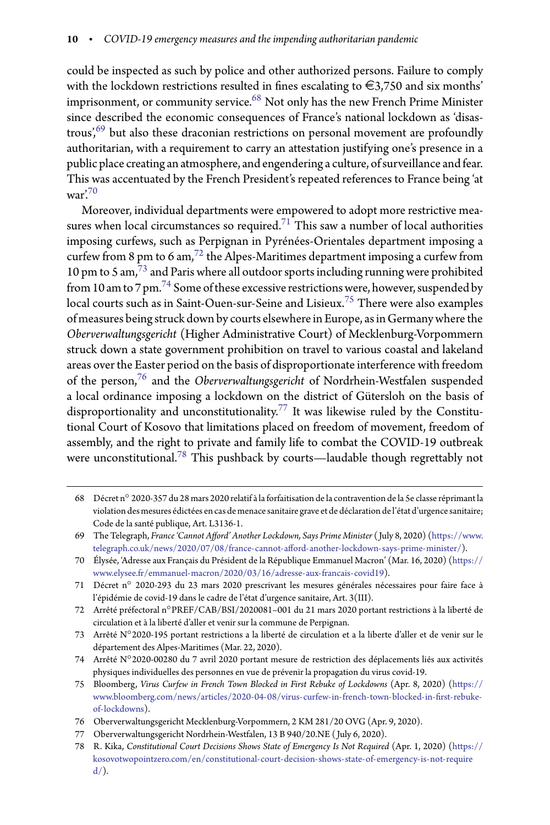could be inspected as such by police and other authorized persons. Failure to comply with the lockdown restrictions resulted in fines escalating to  $\in$ 3,750 and six months' imprisonment, or community service.<sup>[68](#page-9-0)</sup> Not only has the new French Prime Minister since described the economic consequences of France's national lockdown as 'disas-trous',<sup>[69](#page-9-1)</sup> but also these draconian restrictions on personal movement are profoundly authoritarian, with a requirement to carry an attestation justifying one's presence in a public place creating an atmosphere, and engendering a culture, of surveillance and fear. This was accentuated by the French President's repeated references to France being 'at  $\mu$ ar'<sup>[70](#page-9-2)</sup>

Moreover, individual departments were empowered to adopt more restrictive mea-sures when local circumstances so required.<sup>[71](#page-9-3)</sup> This saw a number of local authorities imposing curfews, such as Perpignan in Pyrénées-Orientales department imposing a curfew from 8 pm to 6 am,  $72$  the Alpes-Maritimes department imposing a curfew from 10 pm to 5 am,[73](#page-9-5) and Paris where all outdoor sports including running were prohibited from 10 amto 7 pm.[74](#page-9-6) Some ofthese excessive restrictions were, however, suspended by local courts such as in Saint-Ouen-sur-Seine and Lisieux.<sup>[75](#page-9-7)</sup> There were also examples of measures being struck down by courts elsewhere in Europe, as in Germany where the *Oberverwaltungsgericht* (Higher Administrative Court) of Mecklenburg-Vorpommern struck down a state government prohibition on travel to various coastal and lakeland areas over the Easter period on the basis of disproportionate interference with freedom of the person,[76](#page-9-8) and the *Oberverwaltungsgericht* of Nordrhein-Westfalen suspended a local ordinance imposing a lockdown on the district of Gütersloh on the basis of disproportionality and unconstitutionality.<sup>[77](#page-9-9)</sup> It was likewise ruled by the Constitutional Court of Kosovo that limitations placed on freedom of movement, freedom of assembly, and the right to private and family life to combat the COVID-19 outbreak were unconstitutional.[78](#page-9-10) This pushback by courts—laudable though regrettably not

<span id="page-9-0"></span><sup>68</sup> Décret n◦ 2020-357 du 28 mars 2020 relatif à la forfaitisation de la contravention de la 5e classe réprimant la violation des mesures édictées en cas de menace sanitaire grave et de déclaration de l'état d'urgence sanitaire; Code de la santé publique, Art. L3136-1.

<span id="page-9-1"></span><sup>69</sup> The Telegraph, *France 'Cannot Afford' Another Lockdown*, Says Prime Minister (July 8, 2020) [\(https://www.](https://www.telegraph.co.uk/news/2020/07/08/france-cannot-afford-another-lockdown-says-prime-minister/) telegraph.co.uk/news/2020/07/08/france-cannot-afford-another-lockdown-says-prime-minister/).

<span id="page-9-2"></span><sup>70</sup> Élysée, 'Adresse aux Français du Président de la République Emmanuel Macron' (Mar. 16, 2020) [\(https://](https://www.elysee.fr/emmanuel-macron/2020/03/16/adresse-aux-francais-covid19) [www.elysee.fr/emmanuel-macron/2020/03/16/adresse-aux-francais-covid19\)](https://www.elysee.fr/emmanuel-macron/2020/03/16/adresse-aux-francais-covid19).

<span id="page-9-3"></span><sup>71</sup> Décret n◦ 2020-293 du 23 mars 2020 prescrivant les mesures générales nécessaires pour faire face à l'épidémie de covid-19 dans le cadre de l'état d'urgence sanitaire, Art. 3(III).

<span id="page-9-4"></span><sup>72</sup> Arrêté préfectoral n◦PREF/CAB/BSI/2020081–001 du 21 mars 2020 portant restrictions à la liberté de circulation et à la liberté d'aller et venir sur la commune de Perpignan.

<span id="page-9-5"></span><sup>73</sup> Arrêté N◦ 2020-195 portant restrictions a la liberté de circulation et a la liberte d'aller et de venir sur le département des Alpes-Maritimes (Mar. 22, 2020).

<span id="page-9-6"></span><sup>74</sup> Arrêté N◦ 2020-00280 du 7 avril 2020 portant mesure de restriction des déplacements liés aux activités physiques individuelles des personnes en vue de prévenir la propagation du virus covid-19.

<span id="page-9-7"></span><sup>75</sup> Bloomberg, *Virus Curfew in French Town Blocked in First Rebuke of Lockdowns* (Apr. 8, 2020) [\(https://](https://www.bloomberg.com/news/articles/2020-04-08/virus-curfew-in-french-town-blocked-in-first-rebuke-of-lockdowns) www.bloomberg.com/news/articles/2020-04-08/virus-curfew-in-french-town-blocked-in-first-rebuke[of-lockdowns\)](https://www.bloomberg.com/news/articles/2020-04-08/virus-curfew-in-french-town-blocked-in-first-rebuke-of-lockdowns).

<sup>76</sup> Oberverwaltungsgericht Mecklenburg-Vorpommern, 2 KM 281/20 OVG (Apr. 9, 2020).

<span id="page-9-8"></span><sup>77</sup> Oberverwaltungsgericht Nordrhein-Westfalen, 13 B 940/20.NE ( July 6, 2020).

<span id="page-9-10"></span><span id="page-9-9"></span><sup>78</sup> R. Kika, *Constitutional Court Decisions Shows State of Emergency Is Not Required* (Apr. 1, 2020) [\(https://](https://kosovotwopointzero.com/en/constitutional-court-decision-shows-state-of-emergency-is-not-required/) [kosovotwopointzero.com/en/constitutional-court-decision-shows-state-of-emergency-is-not-require](https://kosovotwopointzero.com/en/constitutional-court-decision-shows-state-of-emergency-is-not-required/)  $d$ ).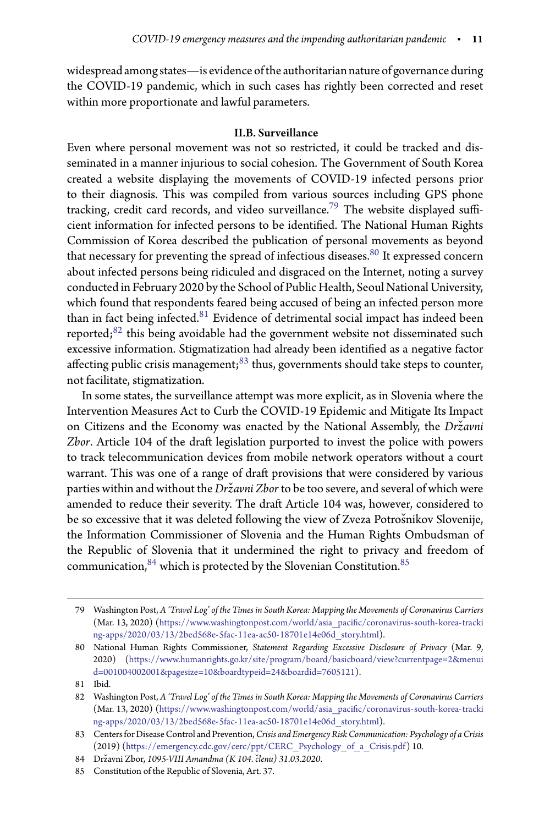widespread among states—is evidence ofthe authoritarian nature of governance during the COVID-19 pandemic, which in such cases has rightly been corrected and reset within more proportionate and lawful parameters.

# II.B. Surveillance

Even where personal movement was not so restricted, it could be tracked and disseminated in a manner injurious to social cohesion. The Government of South Korea created a website displaying the movements of COVID-19 infected persons prior to their diagnosis. This was compiled from various sources including GPS phone tracking, credit card records, and video surveillance.<sup>[79](#page-10-0)</sup> The website displayed sufficient information for infected persons to be identified. The National Human Rights Commission of Korea described the publication of personal movements as beyond that necessary for preventing the spread of infectious diseases.<sup>[80](#page-10-1)</sup> It expressed concern about infected persons being ridiculed and disgraced on the Internet, noting a survey conducted in February 2020 by the School of Public Health, Seoul National University, which found that respondents feared being accused of being an infected person more than in fact being infected.<sup>[81](#page-10-2)</sup> Evidence of detrimental social impact has indeed been reported; $82$  this being avoidable had the government website not disseminated such excessive information. Stigmatization had already been identified as a negative factor affecting public crisis management; $83$  thus, governments should take steps to counter, not facilitate, stigmatization.

In some states, the surveillance attempt was more explicit, as in Slovenia where the Intervention Measures Act to Curb the COVID-19 Epidemic and Mitigate Its Impact on Citizens and the Economy was enacted by the National Assembly, the *Državni* Zbor. Article 104 of the draft legislation purported to invest the police with powers to track telecommunication devices from mobile network operators without a court warrant. This was one of a range of draft provisions that were considered by various parties within and without the *Državni Zbor* to be too severe, and several of which were amended to reduce their severity. The draft Article 104 was, however, considered to be so excessive that it was deleted following the view of Zveza Potrošnikov Slovenije, the Information Commissioner of Slovenia and the Human Rights Ombudsman of the Republic of Slovenia that it undermined the right to privacy and freedom of communication, $84$  which is protected by the Slovenian Constitution. $85$ 

81 Ibid.

<span id="page-10-0"></span><sup>79</sup> Washington Post, *A 'Travel Log' of the Times in South Korea: Mapping the Movements of Coronavirus Carriers* (Mar. 13, 2020) (https://www.washingtonpost.com/world/asia\_pacific/coronavirus-south-korea-tracki [ng-apps/2020/03/13/2bed568e-5fac-11ea-ac50-18701e14e06d\\_story.html\)](https://www.washingtonpost.com/world/asia_pacific/coronavirus-south-korea-tracking-apps/2020/03/13/2bed568e-5fac-11ea-ac50-18701e14e06d_story.html).

<span id="page-10-1"></span><sup>80</sup> National Human Rights Commissioner, *Statement Regarding Excessive Disclosure of Privacy* (Mar. 9, 2020) [\(https://www.humanrights.go.kr/site/program/board/basicboard/view?currentpage=2&menui](https://www.humanrights.go.kr/site/program/board/basicboard/view?currentpage=2&menuid=001004002001&pagesize=10&boardtypeid=24&boardid=7605121) [d=001004002001&pagesize=10&boardtypeid=24&boardid=7605121\)](https://www.humanrights.go.kr/site/program/board/basicboard/view?currentpage=2&menuid=001004002001&pagesize=10&boardtypeid=24&boardid=7605121).

<span id="page-10-3"></span><span id="page-10-2"></span><sup>82</sup> Washington Post, *A 'Travel Log' of the Times in South Korea: Mapping the Movements of Coronavirus Carriers* (Mar. 13, 2020) (https://www.washingtonpost.com/world/asia\_pacific/coronavirus-south-korea-tracki [ng-apps/2020/03/13/2bed568e-5fac-11ea-ac50-18701e14e06d\\_story.html\)](https://www.washingtonpost.com/world/asia_pacific/coronavirus-south-korea-tracking-apps/2020/03/13/2bed568e-5fac-11ea-ac50-18701e14e06d_story.html).

<span id="page-10-4"></span><sup>83</sup> Centers for Disease Control and Prevention,*Crisis and Emergency Risk Communication: Psychology of a Crisis* (2019) [\(https://emergency.cdc.gov/cerc/ppt/CERC\\_Psychology\\_of\\_a\\_Crisis.pdf\)](https://emergency.cdc.gov/cerc/ppt/CERC_Psychology_of_a_Crisis.pdf) 10.

<sup>84</sup> Državni Zbor, 1095-VIII Amandma (K 104. členu) 31.03.2020.

<span id="page-10-6"></span><span id="page-10-5"></span><sup>85</sup> Constitution of the Republic of Slovenia, Art. 37.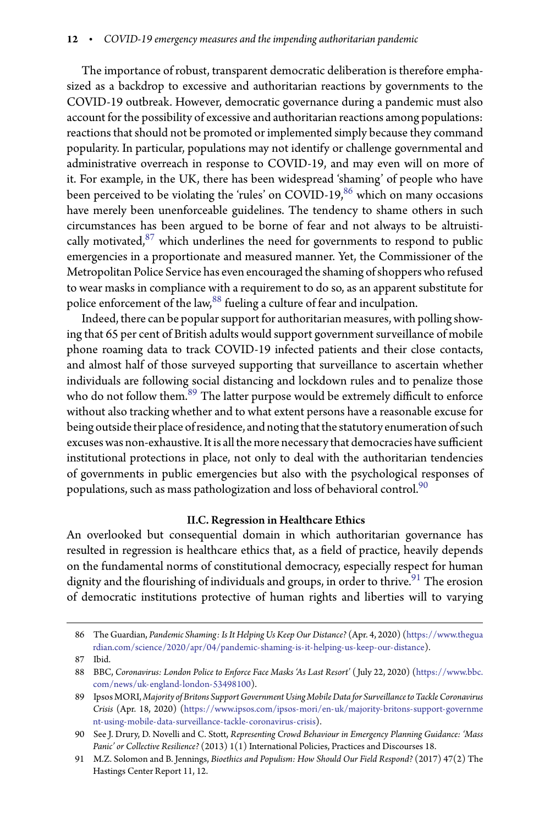The importance of robust, transparent democratic deliberation is therefore emphasized as a backdrop to excessive and authoritarian reactions by governments to the COVID-19 outbreak. However, democratic governance during a pandemic must also account for the possibility of excessive and authoritarian reactions among populations: reactions that should not be promoted or implemented simply because they command popularity. In particular, populations may not identify or challenge governmental and administrative overreach in response to COVID-19, and may even will on more of it. For example, in the UK, there has been widespread 'shaming' of people who have been perceived to be violating the 'rules' on COVID-19,<sup>[86](#page-11-0)</sup> which on many occasions have merely been unenforceable guidelines. The tendency to shame others in such circumstances has been argued to be borne of fear and not always to be altruistically motivated, $87$  which underlines the need for governments to respond to public emergencies in a proportionate and measured manner. Yet, the Commissioner of the Metropolitan Police Service has even encouraged the shaming of shoppers who refused to wear masks in compliance with a requirement to do so, as an apparent substitute for police enforcement of the law,<sup>[88](#page-11-2)</sup> fueling a culture of fear and inculpation.

Indeed, there can be popular support for authoritarian measures, with polling showing that 65 per cent of British adults would support government surveillance of mobile phone roaming data to track COVID-19 infected patients and their close contacts, and almost half of those surveyed supporting that surveillance to ascertain whether individuals are following social distancing and lockdown rules and to penalize those who do not follow them.<sup>[89](#page-11-3)</sup> The latter purpose would be extremely difficult to enforce without also tracking whether and to what extent persons have a reasonable excuse for being outside their place of residence, and noting that the statutory enumeration of such excuses was non-exhaustive. It is all the more necessary that democracies have sufficient institutional protections in place, not only to deal with the authoritarian tendencies of governments in public emergencies but also with the psychological responses of populations, such as mass pathologization and loss of behavioral control.<sup>[90](#page-11-4)</sup>

#### II.C. Regression in Healthcare Ethics

An overlooked but consequential domain in which authoritarian governance has resulted in regression is healthcare ethics that, as a field of practice, heavily depends on the fundamental norms of constitutional democracy, especially respect for human dignity and the flourishing of individuals and groups, in order to thrive.  $\real^{91}$  $\real^{91}$  $\real^{91}$  The erosion of democratic institutions protective of human rights and liberties will to varying

<span id="page-11-0"></span><sup>86</sup> The Guardian, *Pandemic Shaming: Is It Helping Us Keep Our Distance?* (Apr. 4, 2020) [\(https://www.thegua](https://www.theguardian.com/science/2020/apr/04/pandemic-shaming-is-it-helping-us-keep-our-distance) [rdian.com/science/2020/apr/04/pandemic-shaming-is-it-helping-us-keep-our-distance\)](https://www.theguardian.com/science/2020/apr/04/pandemic-shaming-is-it-helping-us-keep-our-distance).

<sup>87</sup> Ibid.

<span id="page-11-2"></span><span id="page-11-1"></span><sup>88</sup> BBC, *Coronavirus: London Police to Enforce Face Masks 'As Last Resort'* ( July 22, 2020) [\(https://www.bbc.](https://www.bbc.com/news/uk-england-london-53498100) [com/news/uk-england-london-53498100\)](https://www.bbc.com/news/uk-england-london-53498100).

<span id="page-11-3"></span><sup>89</sup> IpsosMORI, *Majority of Britons Support Government Using Mobile Data for Surveillance to Tackle Coronavirus Crisis* (Apr. 18, 2020) [\(https://www.ipsos.com/ipsos-mori/en-uk/majority-britons-support-governme](https://www.ipsos.com/ipsos-mori/en-uk/majority-britons-support-government-using-mobile-data-surveillance-tackle-coronavirus-crisis) [nt-using-mobile-data-surveillance-tackle-coronavirus-crisis\)](https://www.ipsos.com/ipsos-mori/en-uk/majority-britons-support-government-using-mobile-data-surveillance-tackle-coronavirus-crisis).

<span id="page-11-4"></span><sup>90</sup> See J. Drury, D. Novelli and C. Stott, *Representing Crowd Behaviour in Emergency Planning Guidance: 'Mass Panic' or Collective Resilience?* (2013) 1(1) International Policies, Practices and Discourses 18.

<span id="page-11-5"></span><sup>91</sup> M.Z. Solomon and B. Jennings, *Bioethics and Populism: How Should Our Field Respond?* (2017) 47(2) The Hastings Center Report 11, 12.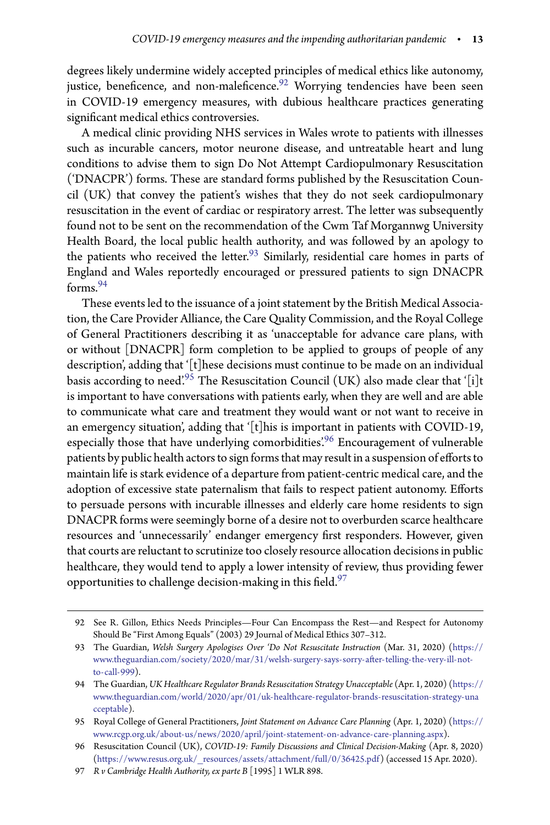degrees likely undermine widely accepted principles of medical ethics like autonomy, justice, beneficence, and non-maleficence.<sup>[92](#page-12-0)</sup> Worrying tendencies have been seen in COVID-19 emergency measures, with dubious healthcare practices generating significant medical ethics controversies.

A medical clinic providing NHS services in Wales wrote to patients with illnesses such as incurable cancers, motor neurone disease, and untreatable heart and lung conditions to advise them to sign Do Not Attempt Cardiopulmonary Resuscitation ('DNACPR') forms. These are standard forms published by the Resuscitation Council (UK) that convey the patient's wishes that they do not seek cardiopulmonary resuscitation in the event of cardiac or respiratory arrest. The letter was subsequently found not to be sent on the recommendation of the Cwm Taf Morgannwg University Health Board, the local public health authority, and was followed by an apology to the patients who received the letter.<sup>[93](#page-12-1)</sup> Similarly, residential care homes in parts of England and Wales reportedly encouraged or pressured patients to sign DNACPR forms.[94](#page-12-2)

These events led to the issuance of a joint statement by the British Medical Association, the Care Provider Alliance, the Care Quality Commission, and the Royal College of General Practitioners describing it as 'unacceptable for advance care plans, with or without [DNACPR] form completion to be applied to groups of people of any description', adding that '[t]hese decisions must continue to be made on an individual basis according to need.<sup>[95](#page-12-3)</sup> The Resuscitation Council (UK) also made clear that '[i]t is important to have conversations with patients early, when they are well and are able to communicate what care and treatment they would want or not want to receive in an emergency situation', adding that '[t]his is important in patients with COVID-19, especially those that have underlying comorbidities'.<sup>[96](#page-12-4)</sup> Encouragement of vulnerable patients by public health actors to sign forms that may result in a suspension of efforts to maintain life is stark evidence of a departure from patient-centric medical care, and the adoption of excessive state paternalism that fails to respect patient autonomy. Efforts to persuade persons with incurable illnesses and elderly care home residents to sign DNACPR forms were seemingly borne of a desire not to overburden scarce healthcare resources and 'unnecessarily' endanger emergency first responders. However, given that courts are reluctant to scrutinize too closely resource allocation decisions in public healthcare, they would tend to apply a lower intensity of review, thus providing fewer opportunities to challenge decision-making in this field. $^{97}$  $^{97}$  $^{97}$ 

<span id="page-12-0"></span><sup>92</sup> See R. Gillon, Ethics Needs Principles—Four Can Encompass the Rest—and Respect for Autonomy Should Be "First Among Equals" (2003) 29 Journal of Medical Ethics 307–312.

<span id="page-12-1"></span><sup>93</sup> The Guardian, *Welsh Surgery Apologises Over 'Do Not Resuscitate Instruction* (Mar. 31, 2020) [\(https://](https://www.theguardian.com/society/2020/mar/31/welsh-surgery-says-sorry-after-telling-the-very-ill-not-to-call-999) www.theguardian.com/society/2020/mar/31/welsh-surgery-says-sorry-after-telling-the-very-ill-not[to-call-999\)](https://www.theguardian.com/society/2020/mar/31/welsh-surgery-says-sorry-after-telling-the-very-ill-not-to-call-999).

<span id="page-12-2"></span><sup>94</sup> The Guardian,*UK Healthcare Regulator Brands Resuscitation Strategy Unacceptable* (Apr. 1, 2020) [\(https://](https://www.theguardian.com/world/2020/apr/01/uk-healthcare-regulator-brands-resuscitation-strategy-unacceptable) [www.theguardian.com/world/2020/apr/01/uk-healthcare-regulator-brands-resuscitation-strategy-una](https://www.theguardian.com/world/2020/apr/01/uk-healthcare-regulator-brands-resuscitation-strategy-unacceptable) [cceptable\)](https://www.theguardian.com/world/2020/apr/01/uk-healthcare-regulator-brands-resuscitation-strategy-unacceptable).

<span id="page-12-3"></span><sup>95</sup> Royal College of General Practitioners, *Joint Statement on Advance Care Planning* (Apr. 1, 2020) [\(https://](https://www.rcgp.org.uk/about-us/news/2020/april/joint-statement-on-advance-care-planning.aspx) [www.rcgp.org.uk/about-us/news/2020/april/joint-statement-on-advance-care-planning.aspx\)](https://www.rcgp.org.uk/about-us/news/2020/april/joint-statement-on-advance-care-planning.aspx).

<span id="page-12-4"></span><sup>96</sup> Resuscitation Council (UK), *COVID-19: Family Discussions and Clinical Decision-Making* (Apr. 8, 2020) [\(https://www.resus.org.uk/\\_resources/assets/attachment/full/0/36425.pdf\)](https://www.resus.org.uk/_resources/assets/attachment/full/0/36425.pdf) (accessed 15 Apr. 2020).

<span id="page-12-5"></span><sup>97</sup> *R v Cambridge Health Authority, ex parte B* [1995] 1 WLR 898.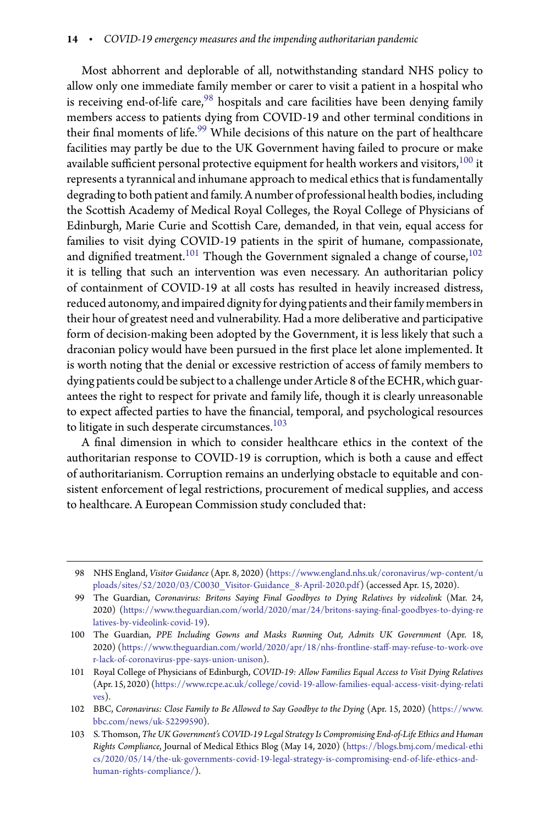Most abhorrent and deplorable of all, notwithstanding standard NHS policy to allow only one immediate family member or carer to visit a patient in a hospital who is receiving end-of-life care, $98$  hospitals and care facilities have been denying family members access to patients dying from COVID-19 and other terminal conditions in their final moments of life.<sup>[99](#page-13-1)</sup> While decisions of this nature on the part of healthcare facilities may partly be due to the UK Government having failed to procure or make available sufficient personal protective equipment for health workers and visitors,  $^{100}$  $^{100}$  $^{100}$  it represents a tyrannical and inhumane approach to medical ethics that is fundamentally degradingto both patient and family. A number of professional health bodies, including the Scottish Academy of Medical Royal Colleges, the Royal College of Physicians of Edinburgh, Marie Curie and Scottish Care, demanded, in that vein, equal access for families to visit dying COVID-19 patients in the spirit of humane, compassionate, and dignified treatment. $^{101}$  $^{101}$  $^{101}$  Though the Government signaled a change of course, $^{102}$  $^{102}$  $^{102}$ it is telling that such an intervention was even necessary. An authoritarian policy of containment of COVID-19 at all costs has resulted in heavily increased distress, reduced autonomy, and impaired dignity for dying patients and their family members in their hour of greatest need and vulnerability. Had a more deliberative and participative form of decision-making been adopted by the Government, it is less likely that such a draconian policy would have been pursued in the first place let alone implemented. It is worth noting that the denial or excessive restriction of access of family members to dying patients could be subject to a challenge under Article 8 of the ECHR, which guarantees the right to respect for private and family life, though it is clearly unreasonable to expect affected parties to have the financial, temporal, and psychological resources to litigate in such desperate circumstances. $103$ 

A final dimension in which to consider healthcare ethics in the context of the authoritarian response to COVID-19 is corruption, which is both a cause and effect of authoritarianism. Corruption remains an underlying obstacle to equitable and consistent enforcement of legal restrictions, procurement of medical supplies, and access to healthcare. A European Commission study concluded that:

<span id="page-13-0"></span><sup>98</sup> NHS England, *Visitor Guidance* (Apr. 8, 2020) [\(https://www.england.nhs.uk/coronavirus/wp-content/u](https://www.england.nhs.uk/coronavirus/wp-content/uploads/sites/52/2020/03/C0030_Visitor-Guidance_8-April-2020.pdf) [ploads/sites/52/2020/03/C0030\\_Visitor-Guidance\\_8-April-2020.pdf\)](https://www.england.nhs.uk/coronavirus/wp-content/uploads/sites/52/2020/03/C0030_Visitor-Guidance_8-April-2020.pdf) (accessed Apr. 15, 2020).

<span id="page-13-1"></span><sup>99</sup> The Guardian, *Coronavirus: Britons Saying Final Goodbyes to Dying Relatives by videolink* (Mar. 24, 2020) [\(https://www.theguardian.com/world/2020/mar/24/britons-saying--](https://www.theguardian.com/world/2020/mar/24/britons-saying-final-goodbyes-to-dying-relatives-by-videolink-covid-19)nal-goodbyes-to-dying-re [latives-by-videolink-covid-19\)](https://www.theguardian.com/world/2020/mar/24/britons-saying-final-goodbyes-to-dying-relatives-by-videolink-covid-19).

<span id="page-13-2"></span><sup>100</sup> The Guardian, *PPE Including Gowns and Masks Running Out, Admits UK Government* (Apr. 18, 2020) (https://www.theguardian.com/world/2020/apr/18/nhs-frontline-staff-may-refuse-to-work-ove [r-lack-of-coronavirus-ppe-says-union-unison\)](https://www.theguardian.com/world/2020/apr/18/nhs-frontline-staff-may-refuse-to-work-over-lack-of-coronavirus-ppe-says-union-unison).

<span id="page-13-3"></span><sup>101</sup> Royal College of Physicians of Edinburgh, *COVID-19: Allow Families Equal Access to Visit Dying Relatives* (Apr. 15, 2020) [\(https://www.rcpe.ac.uk/college/covid-19-allow-families-equal-access-visit-dying-relati](https://www.rcpe.ac.uk/college/covid-19-allow-families-equal-access-visit-dying-relatives) [ves\)](https://www.rcpe.ac.uk/college/covid-19-allow-families-equal-access-visit-dying-relatives).

<span id="page-13-4"></span><sup>102</sup> BBC, *Coronavirus: Close Family to Be Allowed to Say Goodbye to the Dying* (Apr. 15, 2020) [\(https://www.](https://www.bbc.com/news/uk-52299590) [bbc.com/news/uk-52299590\)](https://www.bbc.com/news/uk-52299590).

<span id="page-13-5"></span><sup>103</sup> S. Thomson, *The UK Government's COVID-19 Legal Strategy Is Compromising End-of-Life Ethics and Human Rights Compliance*, Journal of Medical Ethics Blog (May 14, 2020) [\(https://blogs.bmj.com/medical-ethi](https://blogs.bmj.com/medical-ethics/2020/05/14/the-uk-governments-covid-19-legal-strategy-is-compromising-end-of-life-ethics-and-human-rights-compliance/) [cs/2020/05/14/the-uk-governments-covid-19-legal-strategy-is-compromising-end-of-life-ethics-and](https://blogs.bmj.com/medical-ethics/2020/05/14/the-uk-governments-covid-19-legal-strategy-is-compromising-end-of-life-ethics-and-human-rights-compliance/)[human-rights-compliance/\)](https://blogs.bmj.com/medical-ethics/2020/05/14/the-uk-governments-covid-19-legal-strategy-is-compromising-end-of-life-ethics-and-human-rights-compliance/).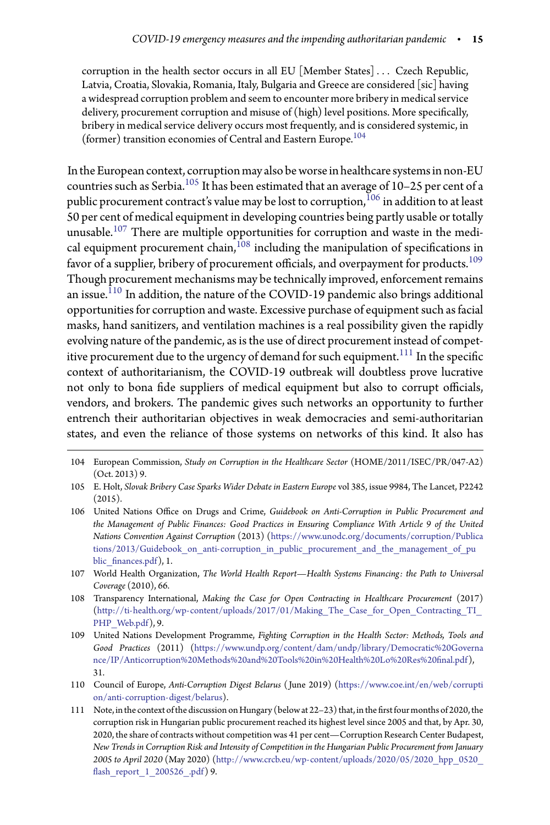corruption in the health sector occurs in all EU [Member States]... Czech Republic, Latvia, Croatia, Slovakia, Romania, Italy, Bulgaria and Greece are considered [sic] having a widespread corruption problem and seem to encounter more bribery in medical service delivery, procurement corruption and misuse of (high) level positions. More specifically, bribery in medical service delivery occurs most frequently, and is considered systemic, in (former) transition economies of Central and Eastern Europe.<sup>[104](#page-14-0)</sup>

Inthe European context, corruption may also be worse in healthcare systems in non-EU countries such as Serbia.[105](#page-14-1) It has been estimated that an average of 10–25 per cent of a public procurement contract's value may be lost to corruption,  $106$  in addition to at least 50 per cent of medical equipment in developing countries being partly usable or totally unusable.[107](#page-14-3) There are multiple opportunities for corruption and waste in the medical equipment procurement chain, $^{108}$  $^{108}$  $^{108}$  including the manipulation of specifications in favor of a supplier, bribery of procurement officials, and overpayment for products.<sup>[109](#page-14-5)</sup> Though procurement mechanisms may be technically improved, enforcement remains an issue.<sup> $110$ </sup> In addition, the nature of the COVID-19 pandemic also brings additional opportunities for corruption and waste. Excessive purchase of equipment such as facial masks, hand sanitizers, and ventilation machines is a real possibility given the rapidly evolving nature of the pandemic, as is the use of direct procurement instead of competitive procurement due to the urgency of demand for such equipment. $^{111}$  $^{111}$  $^{111}$  In the specific context of authoritarianism, the COVID-19 outbreak will doubtless prove lucrative not only to bona fide suppliers of medical equipment but also to corrupt officials, vendors, and brokers. The pandemic gives such networks an opportunity to further entrench their authoritarian objectives in weak democracies and semi-authoritarian states, and even the reliance of those systems on networks of this kind. It also has

- <span id="page-14-0"></span>104 European Commission, *Study on Corruption in the Healthcare Sector* (HOME/2011/ISEC/PR/047-A2) (Oct. 2013) 9.
- <span id="page-14-1"></span>105 E. Holt, *Slovak Bribery Case Sparks Wider Debate in Eastern Europe* vol 385, issue 9984, The Lancet, P2242  $(2015).$
- <span id="page-14-2"></span>106 United Nations Office on Drugs and Crime, *Guidebook on Anti-Corruption in Public Procurement and the Management of Public Finances: Good Practices in Ensuring Compliance With Article 9 of the United Nations Convention Against Corruption* (2013) [\(https://www.unodc.org/documents/corruption/Publica](https://www.unodc.org/documents/corruption/Publications/2013/Guidebook_on_anti-corruption_in_public_procurement_and_the_management_of_public_finances.pdf) tions/2013/Guidebook on anti-corruption in public procurement and the management of pu blic\_-[nances.pdf\)](https://www.unodc.org/documents/corruption/Publications/2013/Guidebook_on_anti-corruption_in_public_procurement_and_the_management_of_public_finances.pdf), 1.
- <span id="page-14-3"></span>107 World Health Organization, *The World Health Report—Health Systems Financing: the Path to Universal Coverage* (2010), 66.
- <span id="page-14-4"></span>108 Transparency International, *Making the Case for Open Contracting in Healthcare Procurement* (2017) [\(http://ti-health.org/wp-content/uploads/2017/01/Making\\_The\\_Case\\_for\\_Open\\_Contracting\\_TI\\_](http://ti-health.org/wp-content/uploads/2017/01/Making_The_Case_for_Open_Contracting_TI_PHP_Web.pdf) [PHP\\_Web.pdf\)](http://ti-health.org/wp-content/uploads/2017/01/Making_The_Case_for_Open_Contracting_TI_PHP_Web.pdf), 9.
- <span id="page-14-5"></span>109 United Nations Development Programme, *Fighting Corruption in the Health Sector: Methods, Tools and Good Practices* (2011) [\(https://www.undp.org/content/dam/undp/library/Democratic%20Governa](https://www.undp.org/content/dam/undp/library/Democratic%20Governance/IP/Anticorruption%20Methods%20and%20Tools%20in%20Health%20Lo%20Res%20final.pdf) nce/IP/Anticorruption%20Methods%20and%20Tools%20in%20Health%20Lo%20Res%20final.pdf), 31.
- <span id="page-14-6"></span>110 Council of Europe, *Anti-Corruption Digest Belarus* ( June 2019) [\(https://www.coe.int/en/web/corrupti](https://www.coe.int/en/web/corruption/anti-corruption-digest/belarus) [on/anti-corruption-digest/belarus\)](https://www.coe.int/en/web/corruption/anti-corruption-digest/belarus).
- <span id="page-14-7"></span>111 Note, in the context of the discussion on Hungary (below at 22-23) that, in the first four months of 2020, the corruption risk in Hungarian public procurement reached its highest level since 2005 and that, by Apr. 30, 2020, the share of contracts without competition was 41 per cent—Corruption Research Center Budapest, *New Trends in Corruption Risk and Intensity of Competition in the Hungarian Public Procurement from January 2005 to April 2020* (May 2020) [\(http://www.crcb.eu/wp-content/uploads/2020/05/2020\\_hpp\\_0520\\_](http://www.crcb.eu/wp-content/uploads/2020/05/2020_hpp_0520_flash_report_1_200526_.pdf) fl[ash\\_report\\_1\\_200526\\_.pdf\)](http://www.crcb.eu/wp-content/uploads/2020/05/2020_hpp_0520_flash_report_1_200526_.pdf) 9.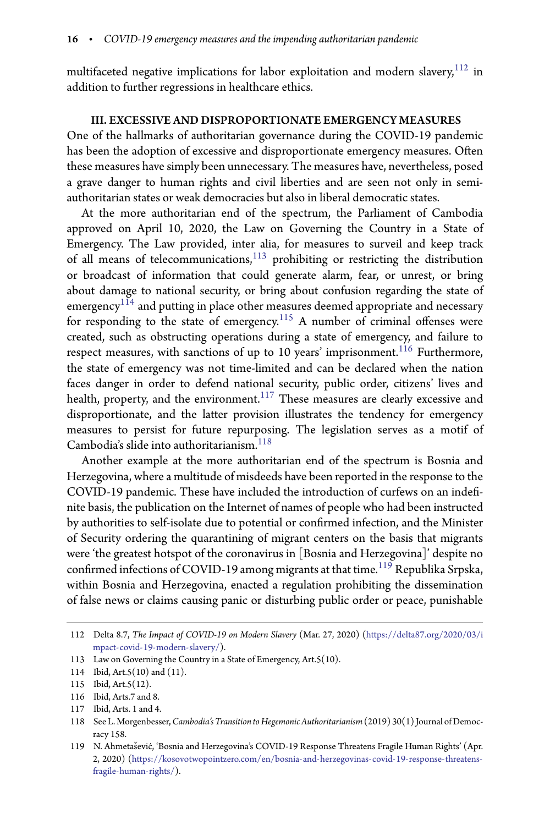multifaceted negative implications for labor exploitation and modern slavery, $112$  in addition to further regressions in healthcare ethics.

## III. EXCESSIVE AND DISPROPORTIONATE EMERGENCY MEASURES

One of the hallmarks of authoritarian governance during the COVID-19 pandemic has been the adoption of excessive and disproportionate emergency measures. Often these measures have simply been unnecessary. The measures have, nevertheless, posed a grave danger to human rights and civil liberties and are seen not only in semiauthoritarian states or weak democracies but also in liberal democratic states.

At the more authoritarian end of the spectrum, the Parliament of Cambodia approved on April 10, 2020, the Law on Governing the Country in a State of Emergency. The Law provided, inter alia, for measures to surveil and keep track of all means of telecommunications, $113$  prohibiting or restricting the distribution or broadcast of information that could generate alarm, fear, or unrest, or bring about damage to national security, or bring about confusion regarding the state of  $emergency$ <sup>[114](#page-15-2)</sup> and putting in place other measures deemed appropriate and necessary for responding to the state of emergency.<sup>[115](#page-15-3)</sup> A number of criminal offenses were created, such as obstructing operations during a state of emergency, and failure to respect measures, with sanctions of up to 10 years' imprisonment.<sup>[116](#page-15-4)</sup> Furthermore, the state of emergency was not time-limited and can be declared when the nation faces danger in order to defend national security, public order, citizens' lives and health, property, and the environment. $117$  These measures are clearly excessive and disproportionate, and the latter provision illustrates the tendency for emergency measures to persist for future repurposing. The legislation serves as a motif of Cambodia's slide into authoritarianism.<sup>[118](#page-15-6)</sup>

Another example at the more authoritarian end of the spectrum is Bosnia and Herzegovina, where a multitude of misdeeds have been reported in the response to the COVID-19 pandemic. These have included the introduction of curfews on an indefinite basis, the publication on the Internet of names of people who had been instructed by authorities to self-isolate due to potential or confirmed infection, and the Minister of Security ordering the quarantining of migrant centers on the basis that migrants were 'the greatest hotspot of the coronavirus in [Bosnia and Herzegovina]' despite no confirmed infections of COVID-19 among migrants at that time. $^{119}$  $^{119}$  $^{119}$  Republika Srpska, within Bosnia and Herzegovina, enacted a regulation prohibiting the dissemination of false news or claims causing panic or disturbing public order or peace, punishable

<span id="page-15-0"></span><sup>112</sup> Delta 8.7, *The Impact of COVID-19 on Modern Slavery* (Mar. 27, 2020) [\(https://delta87.org/2020/03/i](https://delta87.org/2020/03/impact-covid-19-modern-slavery/) [mpact-covid-19-modern-slavery/\)](https://delta87.org/2020/03/impact-covid-19-modern-slavery/).

<sup>113</sup> Law on Governing the Country in a State of Emergency, Art.5(10).

<span id="page-15-1"></span><sup>114</sup> Ibid, Art.5(10) and (11).

<span id="page-15-2"></span><sup>115</sup> Ibid, Art.5(12).

<span id="page-15-3"></span><sup>116</sup> Ibid, Arts.7 and 8.

<span id="page-15-4"></span><sup>117</sup> Ibid, Arts. 1 and 4.

<span id="page-15-6"></span><span id="page-15-5"></span><sup>118</sup> See L.Morgenbesser,*Cambodia's Transitionto Hegemonic Authoritarianism*(2019) 30(1) Journal of Democracy 158.

<span id="page-15-7"></span><sup>119</sup> N. Ahmetašević, 'Bosnia and Herzegovina's COVID-19 Response Threatens Fragile Human Rights' (Apr. 2, 2020) [\(https://kosovotwopointzero.com/en/bosnia-and-herzegovinas-covid-19-response-threatens](https://kosovotwopointzero.com/en/bosnia-and-herzegovinas-covid-19-response-threatens-fragile-human-rights/)[fragile-human-rights/\)](https://kosovotwopointzero.com/en/bosnia-and-herzegovinas-covid-19-response-threatens-fragile-human-rights/).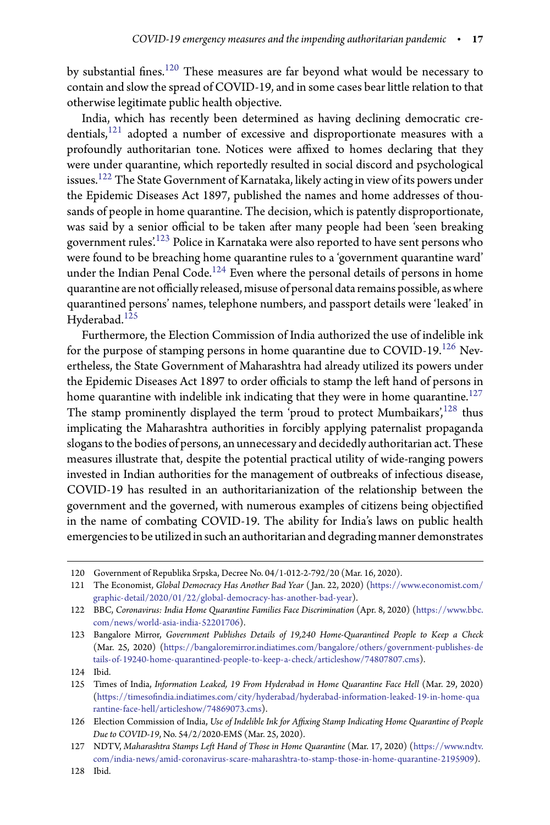by substantial fines. $^{120}$  $^{120}$  $^{120}$  These measures are far beyond what would be necessary to contain and slow the spread of COVID-19, and in some cases bear little relation to that otherwise legitimate public health objective.

India, which has recently been determined as having declining democratic credentials, $121$  adopted a number of excessive and disproportionate measures with a profoundly authoritarian tone. Notices were affixed to homes declaring that they were under quarantine, which reportedly resulted in social discord and psychological issues.[122](#page-16-2) The State Government of Karnataka, likely acting in view of its powers under the Epidemic Diseases Act 1897, published the names and home addresses of thousands of people in home quarantine. The decision, which is patently disproportionate, was said by a senior official to be taken after many people had been 'seen breaking government rules'.[123](#page-16-3) Police in Karnataka were also reported to have sent persons who were found to be breaching home quarantine rules to a 'government quarantine ward' under the Indian Penal Code.<sup>[124](#page-16-4)</sup> Even where the personal details of persons in home quarantine are not officially released, misuse of personal data remains possible, as where quarantined persons' names, telephone numbers, and passport details were 'leaked' in Hyderabad.<sup>[125](#page-16-5)</sup>

Furthermore, the Election Commission of India authorized the use of indelible ink for the purpose of stamping persons in home quarantine due to  $COVID-19$ .<sup>[126](#page-16-6)</sup> Nevertheless, the State Government of Maharashtra had already utilized its powers under the Epidemic Diseases Act 1897 to order officials to stamp the left hand of persons in home quarantine with indelible ink indicating that they were in home quarantine. $127$ The stamp prominently displayed the term 'proud to protect Mumbaikars', $128$  thus implicating the Maharashtra authorities in forcibly applying paternalist propaganda slogans to the bodies of persons, an unnecessary and decidedly authoritarian act. These measures illustrate that, despite the potential practical utility of wide-ranging powers invested in Indian authorities for the management of outbreaks of infectious disease, COVID-19 has resulted in an authoritarianization of the relationship between the government and the governed, with numerous examples of citizens being objectified in the name of combating COVID-19. The ability for India's laws on public health emergenciesto be utilized in such an authoritarian and degrading manner demonstrates

<sup>120</sup> Government of Republika Srpska, Decree No. 04/1-012-2-792/20 (Mar. 16, 2020).

<span id="page-16-1"></span><span id="page-16-0"></span><sup>121</sup> The Economist, *Global Democracy Has Another Bad Year* ( Jan. 22, 2020) [\(https://www.economist.com/](https://www.economist.com/graphic-detail/2020/01/22/global-democracy-has-another-bad-year) [graphic-detail/2020/01/22/global-democracy-has-another-bad-year\)](https://www.economist.com/graphic-detail/2020/01/22/global-democracy-has-another-bad-year).

<span id="page-16-2"></span><sup>122</sup> BBC, *Coronavirus: India Home Quarantine Families Face Discrimination* (Apr. 8, 2020) [\(https://www.bbc.](https://www.bbc.com/news/world-asia-india-52201706) [com/news/world-asia-india-52201706\)](https://www.bbc.com/news/world-asia-india-52201706).

<span id="page-16-3"></span><sup>123</sup> Bangalore Mirror, *Government Publishes Details of 19,240 Home-Quarantined People to Keep a Check* (Mar. 25, 2020) [\(https://bangaloremirror.indiatimes.com/bangalore/others/government-publishes-de](https://bangaloremirror.indiatimes.com/bangalore/others/government-publishes-details-of-19240-home-quarantined-people-to-keep-a-check/articleshow/74807807.cms) [tails-of-19240-home-quarantined-people-to-keep-a-check/articleshow/74807807.cms\)](https://bangaloremirror.indiatimes.com/bangalore/others/government-publishes-details-of-19240-home-quarantined-people-to-keep-a-check/articleshow/74807807.cms).

<sup>124</sup> Ibid.

<span id="page-16-5"></span><span id="page-16-4"></span><sup>125</sup> Times of India, *Information Leaked, 19 From Hyderabad in Home Quarantine Face Hell* (Mar. 29, 2020) (https://timesofi[ndia.indiatimes.com/city/hyderabad/hyderabad-information-leaked-19-in-home-qua](https://timesofindia.indiatimes.com/city/hyderabad/hyderabad-information-leaked-19-in-home-quarantine-face-hell/articleshow/74869073.cms) [rantine-face-hell/articleshow/74869073.cms\)](https://timesofindia.indiatimes.com/city/hyderabad/hyderabad-information-leaked-19-in-home-quarantine-face-hell/articleshow/74869073.cms).

<span id="page-16-6"></span><sup>126</sup> Election Commission of India, *Use of Indelible Ink for Axing Stamp Indicating Home Quarantine of People Due to COVID-19*, No. 54/2/2020-EMS (Mar. 25, 2020).

<span id="page-16-7"></span><sup>127</sup> NDTV, *Maharashtra Stamps Left Hand of Those in Home Quarantine* (Mar. 17, 2020) [\(https://www.ndtv.](https://www.ndtv.com/india-news/amid-coronavirus-scare-maharashtra-to-stamp-those-in-home-quarantine-2195909) [com/india-news/amid-coronavirus-scare-maharashtra-to-stamp-those-in-home-quarantine-2195909\)](https://www.ndtv.com/india-news/amid-coronavirus-scare-maharashtra-to-stamp-those-in-home-quarantine-2195909).

<span id="page-16-8"></span><sup>128</sup> Ibid.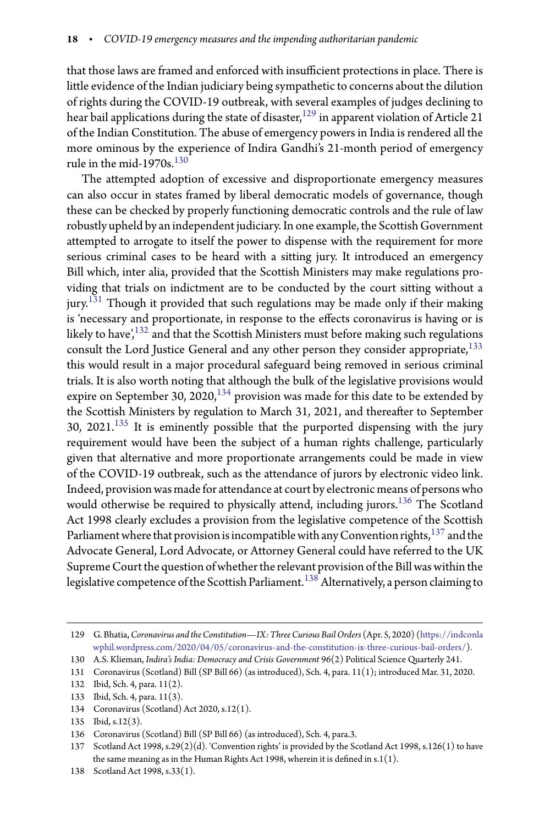that those laws are framed and enforced with insufficient protections in place. There is little evidence of the Indian judiciary being sympathetic to concerns about the dilution of rights during the COVID-19 outbreak, with several examples of judges declining to hear bail applications during the state of disaster,<sup>[129](#page-17-0)</sup> in apparent violation of Article 21 of the Indian Constitution. The abuse of emergency powers in India is rendered all the more ominous by the experience of Indira Gandhi's 21-month period of emergency rule in the mid-1970s. $130$ 

The attempted adoption of excessive and disproportionate emergency measures can also occur in states framed by liberal democratic models of governance, though these can be checked by properly functioning democratic controls and the rule of law robustly upheld by an independent judiciary. In one example, the Scottish Government attempted to arrogate to itself the power to dispense with the requirement for more serious criminal cases to be heard with a sitting jury. It introduced an emergency Bill which, inter alia, provided that the Scottish Ministers may make regulations providing that trials on indictment are to be conducted by the court sitting without a jury.<sup>[131](#page-17-2)</sup> Though it provided that such regulations may be made only if their making is 'necessary and proportionate, in response to the effects coronavirus is having or is likely to have',<sup>[132](#page-17-3)</sup> and that the Scottish Ministers must before making such regulations consult the Lord Justice General and any other person they consider appropriate,<sup>[133](#page-17-4)</sup> this would result in a major procedural safeguard being removed in serious criminal trials. It is also worth noting that although the bulk of the legislative provisions would expire on September 30, 2020,  $134$  provision was made for this date to be extended by the Scottish Ministers by regulation to March 31, 2021, and thereafter to September 30, 2021.[135](#page-17-6) It is eminently possible that the purported dispensing with the jury requirement would have been the subject of a human rights challenge, particularly given that alternative and more proportionate arrangements could be made in view of the COVID-19 outbreak, such as the attendance of jurors by electronic video link. Indeed, provision was made for attendance at court by electronic means of persons who would otherwise be required to physically attend, including jurors.<sup>[136](#page-17-7)</sup> The Scotland Act 1998 clearly excludes a provision from the legislative competence of the Scottish Parliament where that provision is incompatible with any Convention rights,  $^{137}$  $^{137}$  $^{137}$  and the Advocate General, Lord Advocate, or Attorney General could have referred to the UK Supreme Court the question of whether the relevant provision of the Bill was within the legislative competence of the Scottish Parliament.<sup>[138](#page-17-9)</sup> Alternatively, a person claiming to

<span id="page-17-0"></span><sup>129</sup> G. Bhatia,*Coronavirus and the Constitution—IX: Three Curious Bail Orders* (Apr. 5, 2020) [\(https://indconla](https://indconlawphil.wordpress.com/2020/04/05/coronavirus-and-the-constitution-ix-three-curious-bail-orders/) [wphil.wordpress.com/2020/04/05/coronavirus-and-the-constitution-ix-three-curious-bail-orders/\)](https://indconlawphil.wordpress.com/2020/04/05/coronavirus-and-the-constitution-ix-three-curious-bail-orders/).

<sup>130</sup> A.S. Klieman, *Indira's India: Democracy and Crisis Government* 96(2) Political Science Quarterly 241.

<span id="page-17-1"></span><sup>131</sup> Coronavirus (Scotland) Bill (SP Bill 66) (as introduced), Sch. 4, para. 11(1); introduced Mar. 31, 2020.

<span id="page-17-2"></span><sup>132</sup> Ibid, Sch. 4, para. 11(2).

<span id="page-17-3"></span><sup>133</sup> Ibid, Sch. 4, para. 11(3).

<span id="page-17-4"></span><sup>134</sup> Coronavirus (Scotland) Act 2020, s.12(1).

<span id="page-17-5"></span><sup>135</sup> Ibid, s.12(3).

<span id="page-17-6"></span><sup>136</sup> Coronavirus (Scotland) Bill (SP Bill 66) (as introduced), Sch. 4, para.3.

<span id="page-17-8"></span><span id="page-17-7"></span><sup>137</sup> Scotland Act 1998, s.29(2)(d). 'Convention rights' is provided by the Scotland Act 1998, s.126(1) to have the same meaning as in the Human Rights Act 1998, wherein it is defined in s.1(1).

<span id="page-17-9"></span><sup>138</sup> Scotland Act 1998, s.33(1).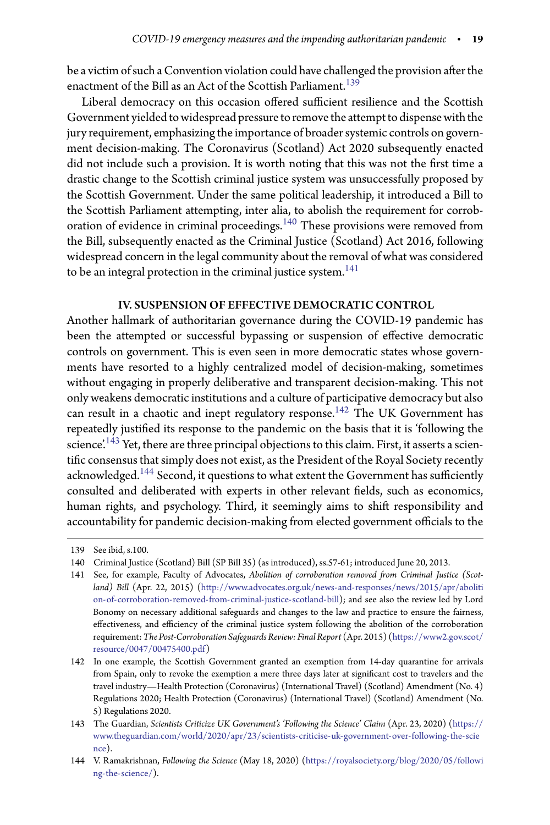be a victim of such a Convention violation could have challenged the provision after the enactment of the Bill as an Act of the Scottish Parliament.<sup>[139](#page-18-0)</sup>

Liberal democracy on this occasion offered sufficient resilience and the Scottish Government yielded to widespread pressure to remove the attempt to dispense with the jury requirement, emphasizing the importance of broader systemic controls on government decision-making. The Coronavirus (Scotland) Act 2020 subsequently enacted did not include such a provision. It is worth noting that this was not the first time a drastic change to the Scottish criminal justice system was unsuccessfully proposed by the Scottish Government. Under the same political leadership, it introduced a Bill to the Scottish Parliament attempting, inter alia, to abolish the requirement for corroboration of evidence in criminal proceedings.[140](#page-18-1) These provisions were removed from the Bill, subsequently enacted as the Criminal Justice (Scotland) Act 2016, following widespread concern in the legal community about the removal of what was considered to be an integral protection in the criminal justice system.<sup>[141](#page-18-2)</sup>

# IV. SUSPENSION OF EFFECTIVE DEMOCRATIC CONTROL

Another hallmark of authoritarian governance during the COVID-19 pandemic has been the attempted or successful bypassing or suspension of effective democratic controls on government. This is even seen in more democratic states whose governments have resorted to a highly centralized model of decision-making, sometimes without engaging in properly deliberative and transparent decision-making. This not only weakens democratic institutions and a culture of participative democracy but also can result in a chaotic and inept regulatory response.<sup>[142](#page-18-3)</sup> The UK Government has repeatedly justified its response to the pandemic on the basis that it is 'following the science.<sup>[143](#page-18-4)</sup> Yet, there are three principal objections to this claim. First, it asserts a scientific consensus that simply does not exist, as the President of the Royal Society recently acknowledged.<sup>[144](#page-18-5)</sup> Second, it questions to what extent the Government has sufficiently consulted and deliberated with experts in other relevant fields, such as economics, human rights, and psychology. Third, it seemingly aims to shift responsibility and accountability for pandemic decision-making from elected government officials to the

<sup>139</sup> See ibid, s.100.

<span id="page-18-0"></span><sup>140</sup> Criminal Justice (Scotland) Bill (SP Bill 35) (as introduced), ss.57-61; introduced June 20, 2013.

<span id="page-18-2"></span><span id="page-18-1"></span><sup>141</sup> See, for example, Faculty of Advocates, Abolition of corroboration removed from Criminal Justice (Scot*land) Bill* (Apr. 22, 2015) [\(http://www.advocates.org.uk/news-and-responses/news/2015/apr/aboliti](http://www.advocates.org.uk/news-and-responses/news/2015/apr/abolition-of-corroboration-removed-from-criminal-justice-scotland-bill) [on-of-corroboration-removed-from-criminal-justice-scotland-bill\)](http://www.advocates.org.uk/news-and-responses/news/2015/apr/abolition-of-corroboration-removed-from-criminal-justice-scotland-bill); and see also the review led by Lord Bonomy on necessary additional safeguards and changes to the law and practice to ensure the fairness, effectiveness, and efficiency of the criminal justice system following the abolition of the corroboration requirement:*The Post-Corroboration Safeguards Review: Final Report* (Apr. 2015) [\(https://www2.gov.scot/](https://www2.gov.scot/resource/0047/00475400.pdf) [resource/0047/00475400.pdf\)](https://www2.gov.scot/resource/0047/00475400.pdf)

<span id="page-18-3"></span><sup>142</sup> In one example, the Scottish Government granted an exemption from 14-day quarantine for arrivals from Spain, only to revoke the exemption a mere three days later at significant cost to travelers and the travel industry—Health Protection (Coronavirus) (International Travel) (Scotland) Amendment (No. 4) Regulations 2020; Health Protection (Coronavirus) (International Travel) (Scotland) Amendment (No. 5) Regulations 2020.

<span id="page-18-4"></span><sup>143</sup> The Guardian, *Scientists Criticize UK Government's 'Following the Science' Claim* (Apr. 23, 2020) [\(https://](https://www.theguardian.com/world/2020/apr/23/scientists-criticise-uk-government-over-following-the-science) [www.theguardian.com/world/2020/apr/23/scientists-criticise-uk-government-over-following-the-scie](https://www.theguardian.com/world/2020/apr/23/scientists-criticise-uk-government-over-following-the-science) [nce\)](https://www.theguardian.com/world/2020/apr/23/scientists-criticise-uk-government-over-following-the-science).

<span id="page-18-5"></span><sup>144</sup> V. Ramakrishnan, *Following the Science* (May 18, 2020) [\(https://royalsociety.org/blog/2020/05/followi](https://royalsociety.org/blog/2020/05/following-the-science/) [ng-the-science/\)](https://royalsociety.org/blog/2020/05/following-the-science/).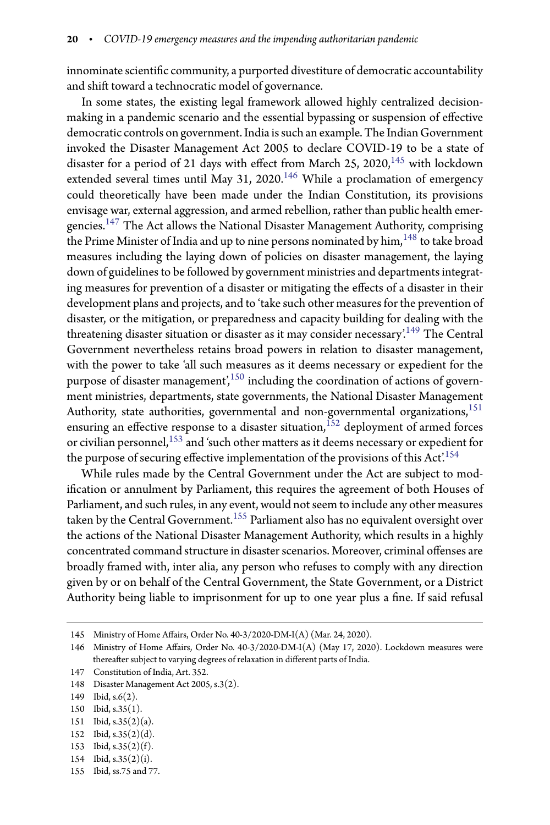innominate scientific community, a purported divestiture of democratic accountability and shift toward a technocratic model of governance.

In some states, the existing legal framework allowed highly centralized decisionmaking in a pandemic scenario and the essential bypassing or suspension of effective democratic controls on government. India is such an example. The Indian Government invoked the Disaster Management Act 2005 to declare COVID-19 to be a state of disaster for a period of 21 days with effect from March 25, 2020, $^{145}$  $^{145}$  $^{145}$  with lockdown extended several times until May 31, 2020.<sup>[146](#page-19-1)</sup> While a proclamation of emergency could theoretically have been made under the Indian Constitution, its provisions envisage war, external aggression, and armed rebellion, rather than public health emergencies.[147](#page-19-2) The Act allows the National Disaster Management Authority, comprising the Prime Minister of India and up to nine persons nominated by him, <sup>[148](#page-19-3)</sup> to take broad measures including the laying down of policies on disaster management, the laying down of guidelines to be followed by government ministries and departments integrating measures for prevention of a disaster or mitigating the effects of a disaster in their development plans and projects, and to 'take such other measures for the prevention of disaster, or the mitigation, or preparedness and capacity building for dealing with the threatening disaster situation or disaster as it may consider necessary.<sup>[149](#page-19-4)</sup> The Central Government nevertheless retains broad powers in relation to disaster management, with the power to take 'all such measures as it deems necessary or expedient for the purpose of disaster management',<sup>[150](#page-19-5)</sup> including the coordination of actions of government ministries, departments, state governments, the National Disaster Management Authority, state authorities, governmental and non-governmental organizations,<sup>[151](#page-19-6)</sup> ensuring an effective response to a disaster situation,  $^{152}$  $^{152}$  $^{152}$  deployment of armed forces or civilian personnel, $153$  and 'such other matters as it deems necessary or expedient for the purpose of securing effective implementation of the provisions of this  $Act.^{154}$  $Act.^{154}$  $Act.^{154}$ 

While rules made by the Central Government under the Act are subject to modification or annulment by Parliament, this requires the agreement of both Houses of Parliament, and such rules, in any event, would not seem to include any other measures taken by the Central Government.<sup>[155](#page-19-10)</sup> Parliament also has no equivalent oversight over the actions of the National Disaster Management Authority, which results in a highly concentrated command structure in disaster scenarios. Moreover, criminal offenses are broadly framed with, inter alia, any person who refuses to comply with any direction given by or on behalf of the Central Government, the State Government, or a District Authority being liable to imprisonment for up to one year plus a fine. If said refusal

- <span id="page-19-6"></span>152 Ibid, s.35(2)(d).
- <span id="page-19-7"></span>153 Ibid, s.35(2)(f).
- <span id="page-19-8"></span>154 Ibid, s.35(2)(i).
- <span id="page-19-10"></span><span id="page-19-9"></span>155 Ibid, ss.75 and 77.

<sup>145</sup> Ministry of Home Affairs, Order No. 40-3/2020-DM-I(A) (Mar. 24, 2020).

<span id="page-19-1"></span><span id="page-19-0"></span><sup>146</sup> Ministry of Home Affairs, Order No. 40-3/2020-DM-I(A) (May 17, 2020). Lockdown measures were thereafter subject to varying degrees of relaxation in different parts of India.

<sup>147</sup> Constitution of India, Art. 352.

<span id="page-19-2"></span><sup>148</sup> Disaster Management Act 2005, s.3(2).

<span id="page-19-3"></span><sup>149</sup> Ibid, s.6(2).

<span id="page-19-4"></span><sup>150</sup> Ibid, s.35(1).

<span id="page-19-5"></span><sup>151</sup> Ibid, s.35(2)(a).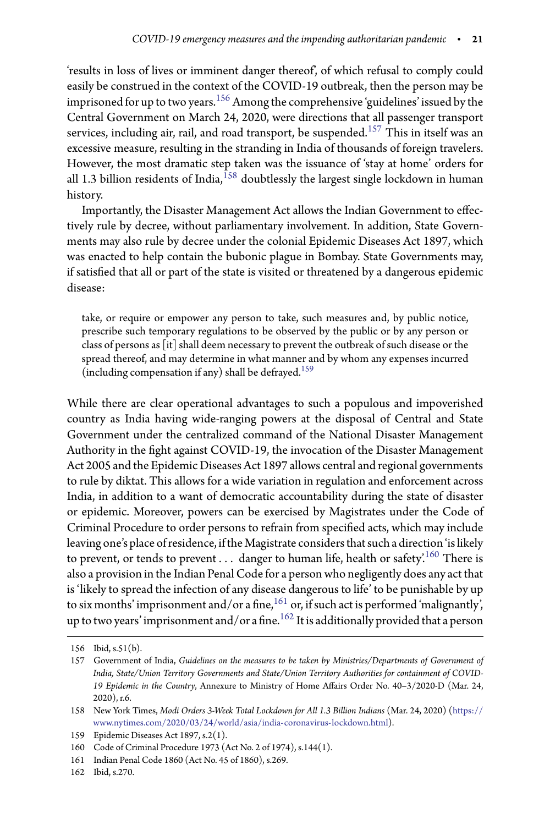'results in loss of lives or imminent danger thereof', of which refusal to comply could easily be construed in the context of the COVID-19 outbreak, then the person may be imprisoned for up to two years.<sup>[156](#page-20-0)</sup> Among the comprehensive 'guidelines' issued by the Central Government on March 24, 2020, were directions that all passenger transport services, including air, rail, and road transport, be suspended.<sup>[157](#page-20-1)</sup> This in itself was an excessive measure, resulting in the stranding in India of thousands of foreign travelers. However, the most dramatic step taken was the issuance of 'stay at home' orders for all 1.3 billion residents of India,  $^{158}$  $^{158}$  $^{158}$  doubtlessly the largest single lockdown in human history.

Importantly, the Disaster Management Act allows the Indian Government to effectively rule by decree, without parliamentary involvement. In addition, State Governments may also rule by decree under the colonial Epidemic Diseases Act 1897, which was enacted to help contain the bubonic plague in Bombay. State Governments may, if satisfied that all or part of the state is visited or threatened by a dangerous epidemic disease:

take, or require or empower any person to take, such measures and, by public notice, prescribe such temporary regulations to be observed by the public or by any person or class of persons as [it] shall deem necessary to prevent the outbreak of such disease or the spread thereof, and may determine in what manner and by whom any expenses incurred (including compensation if any) shall be defrayed.<sup>[159](#page-20-3)</sup>

While there are clear operational advantages to such a populous and impoverished country as India having wide-ranging powers at the disposal of Central and State Government under the centralized command of the National Disaster Management Authority in the fight against COVID-19, the invocation of the Disaster Management Act 2005 and the Epidemic Diseases Act 1897 allows central and regional governments to rule by diktat. This allows for a wide variation in regulation and enforcement across India, in addition to a want of democratic accountability during the state of disaster or epidemic. Moreover, powers can be exercised by Magistrates under the Code of Criminal Procedure to order persons to refrain from specified acts, which may include leaving one's place of residence, if the Magistrate considers that such a direction 'is likely to prevent, or tends to prevent . . . danger to human life, health or safety.<sup>[160](#page-20-4)</sup> There is also a provision in the Indian Penal Code for a person who negligently does any act that is 'likely to spread the infection of any disease dangerous to life' to be punishable by up to six months' imprisonment and/or a fine, $^{161}$  $^{161}$  $^{161}$  or, if such act is performed 'malignantly', up to two years' imprisonment and/or a fine.  $^{162}$  $^{162}$  $^{162}$  It is additionally provided that a person

<sup>156</sup> Ibid, s.51(b).

<span id="page-20-1"></span><span id="page-20-0"></span><sup>157</sup> Government of India, *Guidelines on the measures to be taken by Ministries/Departments of Government of India, State/Union Territory Governments and State/Union Territory Authorities for containment of COVID-*19 Epidemic in the Country, Annexure to Ministry of Home Affairs Order No. 40-3/2020-D (Mar. 24, 2020), r.6.

<span id="page-20-2"></span><sup>158</sup> New York Times, *Modi Orders 3-Week Total Lockdown for All 1.3 Billion Indians* (Mar. 24, 2020) [\(https://](https://www.nytimes.com/2020/03/24/world/asia/india-coronavirus-lockdown.html) [www.nytimes.com/2020/03/24/world/asia/india-coronavirus-lockdown.html\)](https://www.nytimes.com/2020/03/24/world/asia/india-coronavirus-lockdown.html).

<sup>159</sup> Epidemic Diseases Act 1897, s.2(1).

<span id="page-20-3"></span><sup>160</sup> Code of Criminal Procedure 1973 (Act No. 2 of 1974), s.144(1).

<span id="page-20-4"></span><sup>161</sup> Indian Penal Code 1860 (Act No. 45 of 1860), s.269.

<span id="page-20-6"></span><span id="page-20-5"></span><sup>162</sup> Ibid, s.270.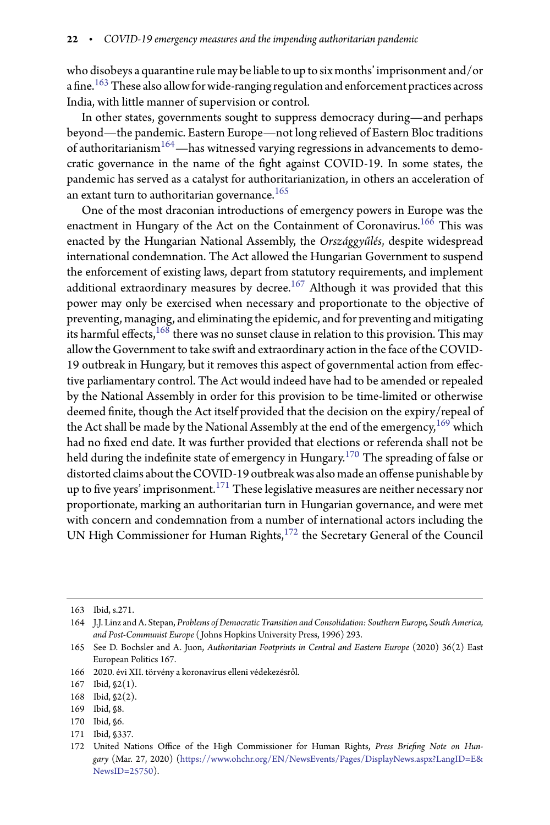who disobeys a quarantine rule may be liable to up to six months' imprisonment and/or a fine.<sup>[163](#page-21-0)</sup> These also allow for wide-ranging regulation and enforcement practices across India, with little manner of supervision or control.

In other states, governments sought to suppress democracy during—and perhaps beyond—the pandemic. Eastern Europe—not long relieved of Eastern Bloc traditions of authoritarianism<sup>[164](#page-21-1)</sup>—has witnessed varying regressions in advancements to democratic governance in the name of the fight against COVID-19. In some states, the pandemic has served as a catalyst for authoritarianization, in others an acceleration of an extant turn to authoritarian governance.<sup>[165](#page-21-2)</sup>

One of the most draconian introductions of emergency powers in Europe was the enactment in Hungary of the Act on the Containment of Coronavirus.<sup>[166](#page-21-3)</sup> This was enacted by the Hungarian National Assembly, the *Országgyűlés*, despite widespread international condemnation. The Act allowed the Hungarian Government to suspend the enforcement of existing laws, depart from statutory requirements, and implement additional extraordinary measures by decree.<sup>[167](#page-21-4)</sup> Although it was provided that this power may only be exercised when necessary and proportionate to the objective of preventing, managing, and eliminating the epidemic, and for preventing and mitigating its harmful effects, $168$  there was no sunset clause in relation to this provision. This may allow the Government to take swift and extraordinary action in the face of the COVID-19 outbreak in Hungary, but it removes this aspect of governmental action from effective parliamentary control. The Act would indeed have had to be amended or repealed by the National Assembly in order for this provision to be time-limited or otherwise deemed finite, though the Act itself provided that the decision on the expiry/repeal of the Act shall be made by the National Assembly at the end of the emergency,<sup>[169](#page-21-6)</sup> which had no fixed end date. It was further provided that elections or referenda shall not be held during the indefinite state of emergency in Hungary.<sup>[170](#page-21-7)</sup> The spreading of false or distorted claims about the COVID-19 outbreak was also made an offense punishable by up to five years' imprisonment. $^{171}$  $^{171}$  $^{171}$  These legislative measures are neither necessary nor proportionate, marking an authoritarian turn in Hungarian governance, and were met with concern and condemnation from a number of international actors including the UN High Commissioner for Human Rights,<sup>[172](#page-21-9)</sup> the Secretary General of the Council

<sup>163</sup> Ibid, s.271.

<span id="page-21-1"></span><span id="page-21-0"></span><sup>164</sup> J.J. Linz and A. Stepan, *Problems of Democratic Transition and Consolidation: Southern Europe, South America, and Post-Communist Europe* ( Johns Hopkins University Press, 1996) 293.

<span id="page-21-2"></span><sup>165</sup> See D. Bochsler and A. Juon, *Authoritarian Footprints in Central and Eastern Europe* (2020) 36(2) East European Politics 167.

<sup>166 2020.</sup> évi XII. törvény a koronavírus elleni védekezésről.

<span id="page-21-3"></span><sup>167</sup> Ibid, §2(1).

<span id="page-21-4"></span><sup>168</sup> Ibid, §2(2).

<span id="page-21-5"></span><sup>169</sup> Ibid, §8.

<span id="page-21-6"></span><sup>170</sup> Ibid, §6.

<span id="page-21-7"></span><sup>171</sup> Ibid, §337.

<span id="page-21-9"></span><span id="page-21-8"></span><sup>172</sup> United Nations Office of the High Commissioner for Human Rights, Press Briefing Note on Hun*gary* (Mar. 27, 2020) [\(https://www.ohchr.org/EN/NewsEvents/Pages/DisplayNews.aspx?LangID=E&](https://www.ohchr.org/EN/NewsEvents/Pages/DisplayNews.aspx?LangID=E&NewsID=25750) [NewsID=25750\)](https://www.ohchr.org/EN/NewsEvents/Pages/DisplayNews.aspx?LangID=E&NewsID=25750).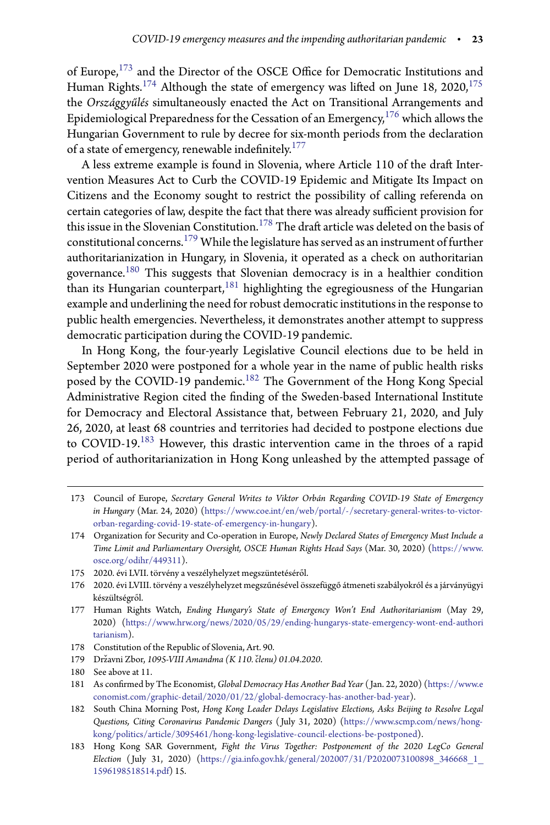of Europe,<sup>[173](#page-22-0)</sup> and the Director of the OSCE Office for Democratic Institutions and Human Rights.<sup>[174](#page-22-1)</sup> Although the state of emergency was lifted on June 18, 2020,<sup>[175](#page-22-2)</sup> the *Országgyűlés* simultaneously enacted the Act on Transitional Arrangements and Epidemiological Preparedness for the Cessation of an Emergency, $^{176}$  $^{176}$  $^{176}$  which allows the Hungarian Government to rule by decree for six-month periods from the declaration of a state of emergency, renewable indefinitely. $^{177}$  $^{177}$  $^{177}$ 

A less extreme example is found in Slovenia, where Article 110 of the draft Intervention Measures Act to Curb the COVID-19 Epidemic and Mitigate Its Impact on Citizens and the Economy sought to restrict the possibility of calling referenda on certain categories of law, despite the fact that there was already sufficient provision for this issue in the Slovenian Constitution.<sup>[178](#page-22-5)</sup> The draft article was deleted on the basis of constitutional concerns.[179](#page-22-6) While the legislature has served as an instrument of further authoritarianization in Hungary, in Slovenia, it operated as a check on authoritarian governance.[180](#page-22-7) This suggests that Slovenian democracy is in a healthier condition than its Hungarian counterpart,  $181$  highlighting the egregiousness of the Hungarian example and underlining the need for robust democratic institutions in the response to public health emergencies. Nevertheless, it demonstrates another attempt to suppress democratic participation during the COVID-19 pandemic.

In Hong Kong, the four-yearly Legislative Council elections due to be held in September 2020 were postponed for a whole year in the name of public health risks posed by the COVID-19 pandemic.<sup>[182](#page-22-9)</sup> The Government of the Hong Kong Special Administrative Region cited the finding of the Sweden-based International Institute for Democracy and Electoral Assistance that, between February 21, 2020, and July 26, 2020, at least 68 countries and territories had decided to postpone elections due to COVID-19.<sup>[183](#page-22-10)</sup> However, this drastic intervention came in the throes of a rapid period of authoritarianization in Hong Kong unleashed by the attempted passage of

<span id="page-22-0"></span><sup>173</sup> Council of Europe, *Secretary General Writes to Viktor Orbán Regarding COVID-19 State of Emergency in Hungary* (Mar. 24, 2020) [\(https://www.coe.int/en/web/portal/-/secretary-general-writes-to-victor](https://www.coe.int/en/web/portal/-/secretary-general-writes-to-victor-orban-regarding-covid-19-state-of-emergency-in-hungary)[orban-regarding-covid-19-state-of-emergency-in-hungary\)](https://www.coe.int/en/web/portal/-/secretary-general-writes-to-victor-orban-regarding-covid-19-state-of-emergency-in-hungary).

<span id="page-22-1"></span><sup>174</sup> Organization for Security and Co-operation in Europe, *Newly Declared States of Emergency Must Include a Time Limit and Parliamentary Oversight, OSCE Human Rights Head Says* (Mar. 30, 2020) [\(https://www.](https://www.osce.org/odihr/449311) [osce.org/odihr/449311\)](https://www.osce.org/odihr/449311).

<sup>175 2020.</sup> évi LVII. törvény a veszélyhelyzet megszüntetéséről.

<span id="page-22-3"></span><span id="page-22-2"></span><sup>176 2020.</sup> évi LVIII. törvény a veszélyhelyzet megszűnésével összefüggő átmeneti szabályokról és a járványügyi készültségről.

<span id="page-22-4"></span><sup>177</sup> Human Rights Watch, *Ending Hungary's State of Emergency Won't End Authoritarianism* (May 29, 2020) [\(https://www.hrw.org/news/2020/05/29/ending-hungarys-state-emergency-wont-end-authori](https://www.hrw.org/news/2020/05/29/ending-hungarys-state-emergency-wont-end-authoritarianism) [tarianism\)](https://www.hrw.org/news/2020/05/29/ending-hungarys-state-emergency-wont-end-authoritarianism).

<sup>178</sup> Constitution of the Republic of Slovenia, Art. 90.

<span id="page-22-5"></span><sup>179</sup> Državni Zbor, 1095-VIII Amandma (K 110. členu) 01.04.2020.

<span id="page-22-6"></span><sup>180</sup> See above at 11.

<span id="page-22-8"></span><span id="page-22-7"></span><sup>181</sup> As confirmed by The Economist, *Global Democracy Has Another Bad Year* (Jan. 22, 2020) [\(https://www.e](https://www.economist.com/graphic-detail/2020/01/22/global-democracy-has-another-bad-year) [conomist.com/graphic-detail/2020/01/22/global-democracy-has-another-bad-year\)](https://www.economist.com/graphic-detail/2020/01/22/global-democracy-has-another-bad-year).

<span id="page-22-9"></span><sup>182</sup> South China Morning Post, *Hong Kong Leader Delays Legislative Elections, Asks Beijing to Resolve Legal Questions, Citing Coronavirus Pandemic Dangers* ( July 31, 2020) [\(https://www.scmp.com/news/hong](https://www.scmp.com/news/hong-kong/politics/article/3095461/hong-kong-legislative-council-elections-be-postponed)[kong/politics/article/3095461/hong-kong-legislative-council-elections-be-postponed\)](https://www.scmp.com/news/hong-kong/politics/article/3095461/hong-kong-legislative-council-elections-be-postponed).

<span id="page-22-10"></span><sup>183</sup> Hong Kong SAR Government, *Fight the Virus Together: Postponement of the 2020 LegCo General Election* [\( July 31, 2020\) \(https://gia.info.gov.hk/general/202007/31/P2020073100898\\_346668\\_1\\_](https://gia.info.gov.hk/general/202007/31/P2020073100898_346668_1_1596198518514.pdf) 1596198518514.pdf) 15.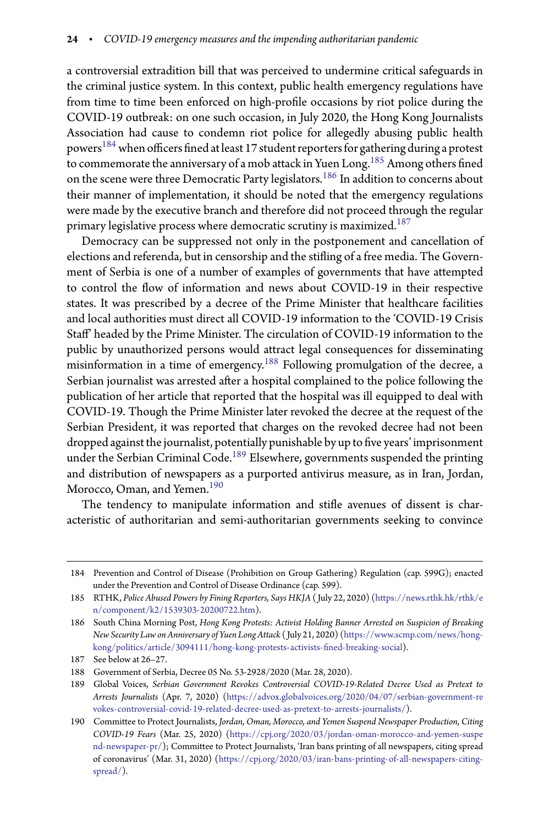a controversial extradition bill that was perceived to undermine critical safeguards in the criminal justice system. In this context, public health emergency regulations have from time to time been enforced on high-profile occasions by riot police during the COVID-19 outbreak: on one such occasion, in July 2020, the Hong Kong Journalists Association had cause to condemn riot police for allegedly abusing public health powers<sup>[184](#page-23-0)</sup> when officers fined at least 17 student reporters for gathering during a protest to commemorate the anniversary of a mob attack in Yuen Long. <sup>[185](#page-23-1)</sup> Among others fined on the scene were three Democratic Party legislators.[186](#page-23-2) In addition to concerns about their manner of implementation, it should be noted that the emergency regulations were made by the executive branch and therefore did not proceed through the regular primary legislative process where democratic scrutiny is maximized.<sup>[187](#page-23-3)</sup>

Democracy can be suppressed not only in the postponement and cancellation of elections and referenda, but in censorship and the stifling of a free media. The Government of Serbia is one of a number of examples of governments that have attempted to control the flow of information and news about COVID-19 in their respective states. It was prescribed by a decree of the Prime Minister that healthcare facilities and local authorities must direct all COVID-19 information to the 'COVID-19 Crisis Staff' headed by the Prime Minister. The circulation of COVID-19 information to the public by unauthorized persons would attract legal consequences for disseminating misinformation in a time of emergency.[188](#page-23-4) Following promulgation of the decree, a Serbian journalist was arrested after a hospital complained to the police following the publication of her article that reported that the hospital was ill equipped to deal with COVID-19. Though the Prime Minister later revoked the decree at the request of the Serbian President, it was reported that charges on the revoked decree had not been dropped against the journalist, potentially punishable by up to five years' imprisonment under the Serbian Criminal Code.<sup>[189](#page-23-5)</sup> Elsewhere, governments suspended the printing and distribution of newspapers as a purported antivirus measure, as in Iran, Jordan, Morocco, Oman, and Yemen.<sup>[190](#page-23-6)</sup>

The tendency to manipulate information and stifle avenues of dissent is characteristic of authoritarian and semi-authoritarian governments seeking to convince

<span id="page-23-0"></span><sup>184</sup> Prevention and Control of Disease (Prohibition on Group Gathering) Regulation (cap. 599G); enacted under the Prevention and Control of Disease Ordinance (cap. 599).

<span id="page-23-1"></span><sup>185</sup> RTHK, *Police Abused Powers by Fining Reporters, Says HKJA* ( July 22, 2020) [\(https://news.rthk.hk/rthk/e](https://news.rthk.hk/rthk/en/component/k2/1539303-20200722.htm) [n/component/k2/1539303-20200722.htm\)](https://news.rthk.hk/rthk/en/component/k2/1539303-20200722.htm).

<span id="page-23-2"></span><sup>186</sup> South China Morning Post, *Hong Kong Protests: Activist Holding Banner Arrested on Suspicion of Breaking New Security Law on Anniversary of Yuen Long Attack* ( July 21, 2020) [\(https://www.scmp.com/news/hong](https://www.scmp.com/news/hong-kong/politics/article/3094111/hong-kong-protests-activists-fined-breaking-social)[kong/politics/article/3094111/hong-kong-protests-activists--](https://www.scmp.com/news/hong-kong/politics/article/3094111/hong-kong-protests-activists-fined-breaking-social)ned-breaking-social).

<sup>187</sup> See below at 26–27.

<span id="page-23-3"></span><sup>188</sup> Government of Serbia, Decree 05 No. 53-2928/2020 (Mar. 28, 2020).

<span id="page-23-5"></span><span id="page-23-4"></span><sup>189</sup> Global Voices, *Serbian Government Revokes Controversial COVID-19-Related Decree Used as Pretext to Arrests Journalists* (Apr. 7, 2020) [\(https://advox.globalvoices.org/2020/04/07/serbian-government-re](https://advox.globalvoices.org/2020/04/07/serbian-government-revokes-controversial-covid-19-related-decree-used-as-pretext-to-arrests-journalists/) [vokes-controversial-covid-19-related-decree-used-as-pretext-to-arrests-journalists/\)](https://advox.globalvoices.org/2020/04/07/serbian-government-revokes-controversial-covid-19-related-decree-used-as-pretext-to-arrests-journalists/).

<span id="page-23-6"></span><sup>190</sup> Committee to Protect Journalists, *Jordan, Oman, Morocco, and Yemen Suspend Newspaper Production, Citing COVID-19 Fears* (Mar. 25, 2020) [\(https://cpj.org/2020/03/jordan-oman-morocco-and-yemen-suspe](https://cpj.org/2020/03/jordan-oman-morocco-and-yemen-suspend-newspaper-pr/) [nd-newspaper-pr/\)](https://cpj.org/2020/03/jordan-oman-morocco-and-yemen-suspend-newspaper-pr/); Committee to Protect Journalists, 'Iran bans printing of all newspapers, citing spread of coronavirus' (Mar. 31, 2020) [\(https://cpj.org/2020/03/iran-bans-printing-of-all-newspapers-citing](https://cpj.org/2020/03/iran-bans-printing-of-all-newspapers-citing-spread/)[spread/\)](https://cpj.org/2020/03/iran-bans-printing-of-all-newspapers-citing-spread/).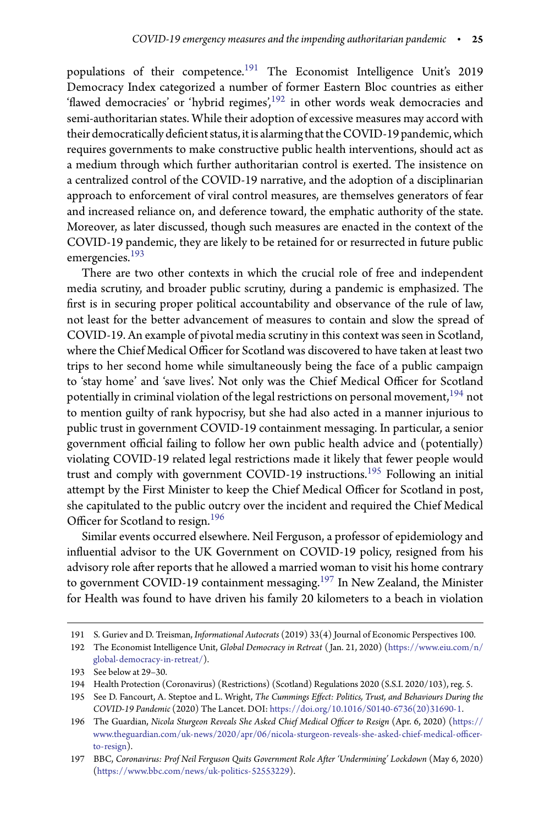populations of their competence.<sup>[191](#page-24-0)</sup> The Economist Intelligence Unit's 2019 Democracy Index categorized a number of former Eastern Bloc countries as either 'flawed democracies' or 'hybrid regimes', $192$  in other words weak democracies and semi-authoritarian states. While their adoption of excessive measures may accord with their democratically deficient status, it is alarming that the COVID-19 pandemic, which requires governments to make constructive public health interventions, should act as a medium through which further authoritarian control is exerted. The insistence on a centralized control of the COVID-19 narrative, and the adoption of a disciplinarian approach to enforcement of viral control measures, are themselves generators of fear and increased reliance on, and deference toward, the emphatic authority of the state. Moreover, as later discussed, though such measures are enacted in the context of the COVID-19 pandemic, they are likely to be retained for or resurrected in future public emergencies.[193](#page-24-2)

There are two other contexts in which the crucial role of free and independent media scrutiny, and broader public scrutiny, during a pandemic is emphasized. The first is in securing proper political accountability and observance of the rule of law, not least for the better advancement of measures to contain and slow the spread of COVID-19. An example of pivotal media scrutiny in this context was seen in Scotland, where the Chief Medical Officer for Scotland was discovered to have taken at least two trips to her second home while simultaneously being the face of a public campaign to 'stay home' and 'save lives'. Not only was the Chief Medical Officer for Scotland potentially in criminal violation of the legal restrictions on personal movement,  $194$  not to mention guilty of rank hypocrisy, but she had also acted in a manner injurious to public trust in government COVID-19 containment messaging. In particular, a senior government official failing to follow her own public health advice and (potentially) violating COVID-19 related legal restrictions made it likely that fewer people would trust and comply with government COVID-19 instructions.[195](#page-24-4) Following an initial attempt by the First Minister to keep the Chief Medical Officer for Scotland in post, she capitulated to the public outcry over the incident and required the Chief Medical Officer for Scotland to resign.<sup>[196](#page-24-5)</sup>

Similar events occurred elsewhere. Neil Ferguson, a professor of epidemiology and influential advisor to the UK Government on COVID-19 policy, resigned from his advisory role after reports that he allowed a married woman to visit his home contrary to government COVID-19 containment messaging.<sup>[197](#page-24-6)</sup> In New Zealand, the Minister for Health was found to have driven his family 20 kilometers to a beach in violation

<sup>191</sup> S. Guriev and D. Treisman, *Informational Autocrats* (2019) 33(4) Journal of Economic Perspectives 100.

<span id="page-24-1"></span><span id="page-24-0"></span><sup>192</sup> The Economist Intelligence Unit, *Global Democracy in Retreat* ( Jan. 21, 2020) [\(https://www.eiu.com/n/](https://www.eiu.com/n/global-democracy-in-retreat/) [global-democracy-in-retreat/\)](https://www.eiu.com/n/global-democracy-in-retreat/).

<sup>193</sup> See below at 29–30.

<span id="page-24-2"></span><sup>194</sup> Health Protection (Coronavirus) (Restrictions) (Scotland) Regulations 2020 (S.S.I. 2020/103), reg. 5.

<span id="page-24-4"></span><span id="page-24-3"></span><sup>195</sup> See D. Fancourt, A. Steptoe and L. Wright, *The Cummings Effect: Politics, Trust, and Behaviours During the COVID-19 Pandemic* (2020) The Lancet. DOI: [https://doi.org/10.1016/S0140-6736\(20\)31690-1.](https://doi.org/10.1016/S0140-6736(20)31690-1)

<span id="page-24-5"></span><sup>196</sup> The Guardian, *Nicola Sturgeon Reveals She Asked Chief Medical Ocer to Resign* (Apr. 6, 2020) [\(https://](https://www.theguardian.com/uk-news/2020/apr/06/nicola-sturgeon-reveals-she-asked-chief-medical-officer-to-resign) www.theguardian.com/uk-news/2020/apr/06/nicola-sturgeon-reveals-she-asked-chief-medical-officer[to-resign\)](https://www.theguardian.com/uk-news/2020/apr/06/nicola-sturgeon-reveals-she-asked-chief-medical-officer-to-resign).

<span id="page-24-6"></span><sup>197</sup> BBC, *Coronavirus: Prof Neil Ferguson Quits Government Role After 'Undermining' Lockdown* (May 6, 2020) [\(https://www.bbc.com/news/uk-politics-52553229\)](https://www.bbc.com/news/uk-politics-52553229).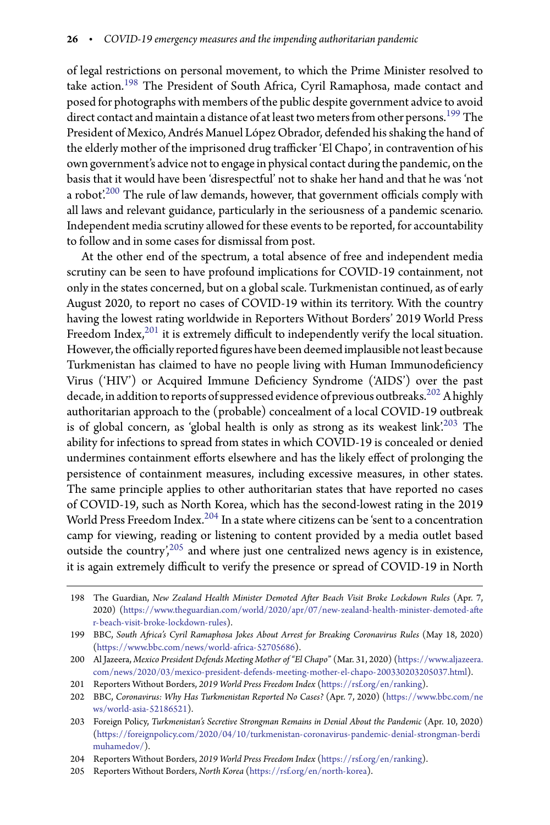of legal restrictions on personal movement, to which the Prime Minister resolved to take action.[198](#page-25-0) The President of South Africa, Cyril Ramaphosa, made contact and posed for photographs with members of the public despite government advice to avoid direct contact and maintain a distance of at least two meters from other persons.<sup>[199](#page-25-1)</sup> The President of Mexico, Andrés Manuel López Obrador, defended his shaking the hand of the elderly mother of the imprisoned drug trafficker 'El Chapo', in contravention of his own government's advice not to engage in physical contact during the pandemic, on the basis that it would have been 'disrespectful' not to shake her hand and that he was 'not a robot.<sup>[200](#page-25-2)</sup> The rule of law demands, however, that government officials comply with all laws and relevant guidance, particularly in the seriousness of a pandemic scenario. Independent media scrutiny allowed for these events to be reported, for accountability to follow and in some cases for dismissal from post.

At the other end of the spectrum, a total absence of free and independent media scrutiny can be seen to have profound implications for COVID-19 containment, not only in the states concerned, but on a global scale. Turkmenistan continued, as of early August 2020, to report no cases of COVID-19 within its territory. With the country having the lowest rating worldwide in Reporters Without Borders' 2019 World Press Freedom Index, $^{201}$  $^{201}$  $^{201}$  it is extremely difficult to independently verify the local situation. However, the officially reported figures have been deemed implausible not least because Turkmenistan has claimed to have no people living with Human Immunodeficiency Virus ('HIV') or Acquired Immune Deficiency Syndrome ('AIDS') over the past decade, in addition to reports of suppressed evidence of previous outbreaks.<sup>[202](#page-25-4)</sup> A highly authoritarian approach to the (probable) concealment of a local COVID-19 outbreak is of global concern, as 'global health is only as strong as its weakest link'.<sup>[203](#page-25-5)</sup> The ability for infections to spread from states in which COVID-19 is concealed or denied undermines containment efforts elsewhere and has the likely effect of prolonging the persistence of containment measures, including excessive measures, in other states. The same principle applies to other authoritarian states that have reported no cases of COVID-19, such as North Korea, which has the second-lowest rating in the 2019 World Press Freedom Index.<sup>[204](#page-25-6)</sup> In a state where citizens can be 'sent to a concentration camp for viewing, reading or listening to content provided by a media outlet based outside the country',<sup>[205](#page-25-7)</sup> and where just one centralized news agency is in existence, it is again extremely difficult to verify the presence or spread of COVID-19 in North

<span id="page-25-0"></span><sup>198</sup> The Guardian, *New Zealand Health Minister Demoted After Beach Visit Broke Lockdown Rules* (Apr. 7, 2020) (https://www.theguardian.com/world/2020/apr/07/new-zealand-health-minister-demoted-afte [r-beach-visit-broke-lockdown-rules\)](https://www.theguardian.com/world/2020/apr/07/new-zealand-health-minister-demoted-after-beach-visit-broke-lockdown-rules).

<span id="page-25-1"></span><sup>199</sup> BBC, *South Aica's Cyril Ramaphosa Jokes About Arrest for Breaking Coronavirus Rules* (May 18, 2020) [\(https://www.bbc.com/news/world-africa-52705686\)](https://www.bbc.com/news/world-africa-52705686).

<span id="page-25-2"></span><sup>200</sup> Al Jazeera, *Mexico President Defends Meeting Mother of "El Chapo*" (Mar. 31, 2020) [\(https://www.aljazeera.](https://www.aljazeera.com/news/2020/03/mexico-president-defends-meeting-mother-el-chapo-200330203205037.html) [com/news/2020/03/mexico-president-defends-meeting-mother-el-chapo-200330203205037.html\)](https://www.aljazeera.com/news/2020/03/mexico-president-defends-meeting-mother-el-chapo-200330203205037.html).

<sup>201</sup> Reporters Without Borders, *2019 World Press Freedom Index* [\(https://rsf.org/en/ranking\)](https://rsf.org/en/ranking).

<span id="page-25-4"></span><span id="page-25-3"></span><sup>202</sup> BBC, *Coronavirus: Why Has Turkmenistan Reported No Cases?* (Apr. 7, 2020) [\(https://www.bbc.com/ne](https://www.bbc.com/news/world-asia-52186521) [ws/world-asia-52186521\)](https://www.bbc.com/news/world-asia-52186521).

<span id="page-25-5"></span><sup>203</sup> Foreign Policy, *Turkmenistan's Secretive Strongman Remains in Denial About the Pandemic* (Apr. 10, 2020) [\(https://foreignpolicy.com/2020/04/10/turkmenistan-coronavirus-pandemic-denial-strongman-berdi](https://foreignpolicy.com/2020/04/10/turkmenistan-coronavirus-pandemic-denial-strongman-berdimuhamedov/) [muhamedov/\)](https://foreignpolicy.com/2020/04/10/turkmenistan-coronavirus-pandemic-denial-strongman-berdimuhamedov/).

<sup>204</sup> Reporters Without Borders, *2019 World Press Freedom Index* [\(https://rsf.org/en/ranking\)](https://rsf.org/en/ranking).

<span id="page-25-7"></span><span id="page-25-6"></span><sup>205</sup> Reporters Without Borders, *North Korea* [\(https://rsf.org/en/north-korea\)](https://rsf.org/en/north-korea).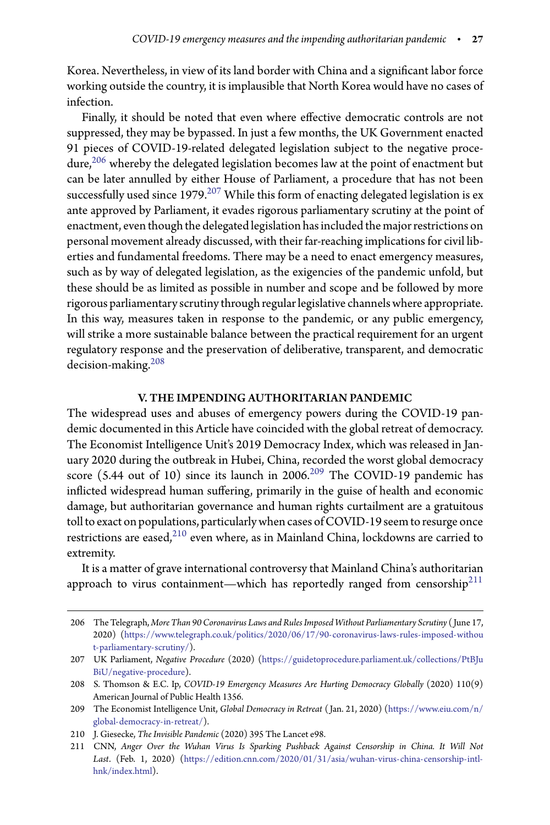Korea. Nevertheless, in view of its land border with China and a significant labor force working outside the country, it is implausible that North Korea would have no cases of infection.

Finally, it should be noted that even where effective democratic controls are not suppressed, they may be bypassed. In just a few months, the UK Government enacted 91 pieces of COVID-19-related delegated legislation subject to the negative procedure, $206$  whereby the delegated legislation becomes law at the point of enactment but can be later annulled by either House of Parliament, a procedure that has not been successfully used since  $1979$ .<sup>[207](#page-26-1)</sup> While this form of enacting delegated legislation is ex ante approved by Parliament, it evades rigorous parliamentary scrutiny at the point of enactment, even though the delegated legislation has included the major restrictions on personal movement already discussed, with their far-reaching implications for civil liberties and fundamental freedoms. There may be a need to enact emergency measures, such as by way of delegated legislation, as the exigencies of the pandemic unfold, but these should be as limited as possible in number and scope and be followed by more rigorous parliamentary scrutinythrough regular legislative channels where appropriate. In this way, measures taken in response to the pandemic, or any public emergency, will strike a more sustainable balance between the practical requirement for an urgent regulatory response and the preservation of deliberative, transparent, and democratic decision-making.[208](#page-26-2)

# V. THE IMPENDING AUTHORITARIAN PANDEMIC

The widespread uses and abuses of emergency powers during the COVID-19 pandemic documented in this Article have coincided with the global retreat of democracy. The Economist Intelligence Unit's 2019 Democracy Index, which was released in January 2020 during the outbreak in Hubei, China, recorded the worst global democracy score (5.44 out of 10) since its launch in  $2006$ <sup>[209](#page-26-3)</sup> The COVID-19 pandemic has inflicted widespread human suffering, primarily in the guise of health and economic damage, but authoritarian governance and human rights curtailment are a gratuitous toll to exact on populations, particularly when cases of COVID-19 seem to resurge once restrictions are eased, $2^{10}$  even where, as in Mainland China, lockdowns are carried to extremity.

It is a matter of grave international controversy that Mainland China's authoritarian approach to virus containment—which has reportedly ranged from censorship<sup>[211](#page-26-5)</sup>

<span id="page-26-0"></span><sup>206</sup> The Telegraph, *More Than 90 Coronavirus Laws and Rules Imposed Without Parliamentary Scrutiny* ( June 17, 2020) [\(https://www.telegraph.co.uk/politics/2020/06/17/90-coronavirus-laws-rules-imposed-withou](https://www.telegraph.co.uk/politics/2020/06/17/90-coronavirus-laws-rules-imposed-without-parliamentary-scrutiny/) [t-parliamentary-scrutiny/\)](https://www.telegraph.co.uk/politics/2020/06/17/90-coronavirus-laws-rules-imposed-without-parliamentary-scrutiny/).

<span id="page-26-1"></span><sup>207</sup> UK Parliament, *Negative Procedure* (2020) [\(https://guidetoprocedure.parliament.uk/collections/PtBJu](https://guidetoprocedure.parliament.uk/collections/PtBJuBiU/negative-procedure) [BiU/negative-procedure\)](https://guidetoprocedure.parliament.uk/collections/PtBJuBiU/negative-procedure).

<span id="page-26-2"></span><sup>208</sup> S. Thomson & E.C. Ip, *COVID-19 Emergency Measures Are Hurting Democracy Globally* (2020) 110(9) American Journal of Public Health 1356.

<span id="page-26-3"></span><sup>209</sup> The Economist Intelligence Unit, *Global Democracy in Retreat* ( Jan. 21, 2020) [\(https://www.eiu.com/n/](https://www.eiu.com/n/global-democracy-in-retreat/) [global-democracy-in-retreat/\)](https://www.eiu.com/n/global-democracy-in-retreat/).

<sup>210</sup> J. Giesecke, *The Invisible Pandemic* (2020) 395 The Lancet e98.

<span id="page-26-5"></span><span id="page-26-4"></span><sup>211</sup> CNN, *Anger Over the Wuhan Virus Is Sparking Pushback Against Censorship in China. It Will Not Last*. (Feb. 1, 2020) [\(https://edition.cnn.com/2020/01/31/asia/wuhan-virus-china-censorship-intl](https://edition.cnn.com/2020/01/31/asia/wuhan-virus-china-censorship-intl-hnk/index.html)[hnk/index.html\)](https://edition.cnn.com/2020/01/31/asia/wuhan-virus-china-censorship-intl-hnk/index.html).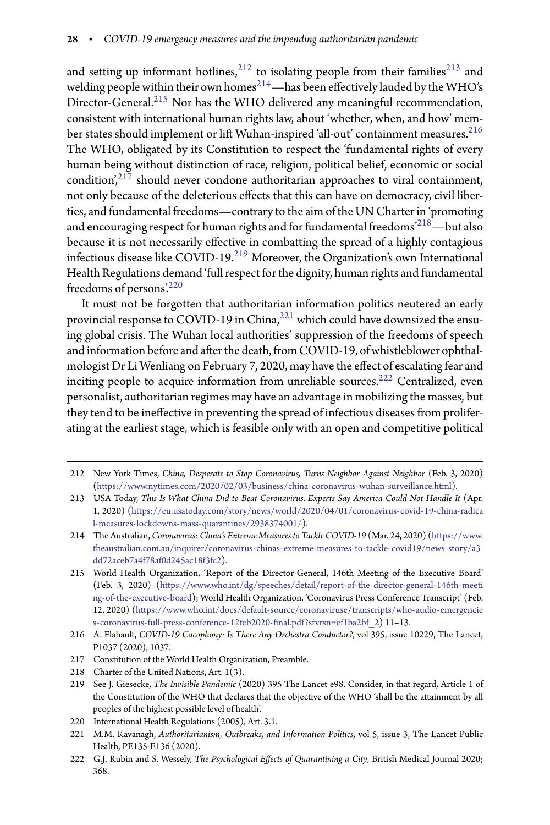and setting up informant hotlines, $^{212}$  $^{212}$  $^{212}$  to isolating people from their families<sup>[213](#page-27-1)</sup> and welding people within their own homes<sup>[214](#page-27-2)</sup>—has been effectively lauded by the WHO's Director-General.<sup>[215](#page-27-3)</sup> Nor has the WHO delivered any meaningful recommendation, consistent with international human rights law, about 'whether, when, and how' mem-ber states should implement or lift Wuhan-inspired 'all-out' containment measures.<sup>[216](#page-27-4)</sup> The WHO, obligated by its Constitution to respect the 'fundamental rights of every human being without distinction of race, religion, political belief, economic or social condition', $217$  should never condone authoritarian approaches to viral containment, not only because of the deleterious effects that this can have on democracy, civil liberties, and fundamental freedoms—contrary to the aim of the UN Charter in 'promoting and encouraging respect for human rights and for fundamental freedoms $^{218}$  $^{218}$  $^{218}$ —but also because it is not necessarily effective in combatting the spread of a highly contagious infectious disease like COVID-19.[219](#page-27-7) Moreover, the Organization's own International Health Regulations demand 'full respect for the dignity, human rights and fundamental freedoms of persons'.[220](#page-27-8)

It must not be forgotten that authoritarian information politics neutered an early provincial response to COVID-19 in China,<sup>[221](#page-27-9)</sup> which could have downsized the ensuing global crisis. The Wuhan local authorities' suppression of the freedoms of speech and information before and after the death, from COVID-19, of whistleblower ophthalmologist Dr Li Wenliang on February 7, 2020, may have the effect of escalating fear and inciting people to acquire information from unreliable sources.[222](#page-27-10) Centralized, even personalist, authoritarian regimes may have an advantage in mobilizing the masses, but they tend to be ineffective in preventing the spread of infectious diseases from proliferating at the earliest stage, which is feasible only with an open and competitive political

<span id="page-27-0"></span><sup>212</sup> New York Times, *China, Desperate to Stop Coronavirus, Turns Neighbor Against Neighbor* (Feb. 3, 2020) [\(https://www.nytimes.com/2020/02/03/business/china-coronavirus-wuhan-surveillance.html\)](https://www.nytimes.com/2020/02/03/business/china-coronavirus-wuhan-surveillance.html).

<span id="page-27-1"></span><sup>213</sup> USA Today, *This Is What China Did to Beat Coronavirus. Experts Say America Could Not Handle It* (Apr. 1, 2020) [\(https://eu.usatoday.com/story/news/world/2020/04/01/coronavirus-covid-19-china-radica](https://eu.usatoday.com/story/news/world/2020/04/01/coronavirus-covid-19-china-radical-measures-lockdowns-mass-quarantines/2938374001/) [l-measures-lockdowns-mass-quarantines/2938374001/\)](https://eu.usatoday.com/story/news/world/2020/04/01/coronavirus-covid-19-china-radical-measures-lockdowns-mass-quarantines/2938374001/).

<span id="page-27-2"></span><sup>214</sup> The Australian, *Coronavirus: China's Extreme Measures to Tackle COVID-19* (Mar. 24, 2020) [\(https://www.](https://www.theaustralian.com.au/inquirer/coronavirus-chinas-extreme-measures-to-tackle-covid19/news-story/a3dd72aceb7a4f78af0d245ac18f3fc2) [theaustralian.com.au/inquirer/coronavirus-chinas-extreme-measures-to-tackle-covid19/news-story/a3](https://www.theaustralian.com.au/inquirer/coronavirus-chinas-extreme-measures-to-tackle-covid19/news-story/a3dd72aceb7a4f78af0d245ac18f3fc2) [dd72aceb7a4f78af0d245ac18f3fc2\)](https://www.theaustralian.com.au/inquirer/coronavirus-chinas-extreme-measures-to-tackle-covid19/news-story/a3dd72aceb7a4f78af0d245ac18f3fc2).

<span id="page-27-3"></span><sup>215</sup> World Health Organization, 'Report of the Director-General, 146th Meeting of the Executive Board' (Feb. 3, 2020) [\(https://www.who.int/dg/speeches/detail/report-of-the-director-general-146th-meeti](https://www.who.int/dg/speeches/detail/report-of-the-director-general-146th-meeting-of-the-executive-board) [ng-of-the-executive-board\)](https://www.who.int/dg/speeches/detail/report-of-the-director-general-146th-meeting-of-the-executive-board); World Health Organization, 'Coronavirus Press Conference Transcript' (Feb. 12, 2020) [\(https://www.who.int/docs/default-source/coronaviruse/transcripts/who-audio-emergencie](https://www.who.int/docs/default-source/coronaviruse/transcripts/who-audio-emergencies-coronavirus-full-press-conference-12feb2020-final.pdf?sfvrsn=ef1ba2bf_2) s-coronavirus-full-press-conference-12feb2020-final.pdf?sfvrsn=ef1ba2bf\_2) 11–13.

<span id="page-27-4"></span><sup>216</sup> A. Flahault, *COVID-19 Cacophony: Is There Any Orchestra Conductor?*, vol 395, issue 10229, The Lancet, P1037 (2020), 1037.

<sup>217</sup> Constitution of the World Health Organization, Preamble.

<span id="page-27-5"></span><sup>218</sup> Charter of the United Nations, Art. 1(3).

<span id="page-27-7"></span><span id="page-27-6"></span><sup>219</sup> See J. Giesecke, *The Invisible Pandemic* (2020) 395 The Lancet e98. Consider, in that regard, Article 1 of the Constitution of the WHO that declares that the objective of the WHO 'shall be the attainment by all peoples of the highest possible level of health'.

<sup>220</sup> International Health Regulations (2005), Art. 3.1.

<span id="page-27-9"></span><span id="page-27-8"></span><sup>221</sup> M.M. Kavanagh, *Authoritarianism, Outbreaks, and Information Politics*, vol 5, issue 3, The Lancet Public Health, PE135-E136 (2020).

<span id="page-27-10"></span><sup>222</sup> G.J. Rubin and S. Wessely, *The Psychological Effects of Quarantining a City*, British Medical Journal 2020; 368.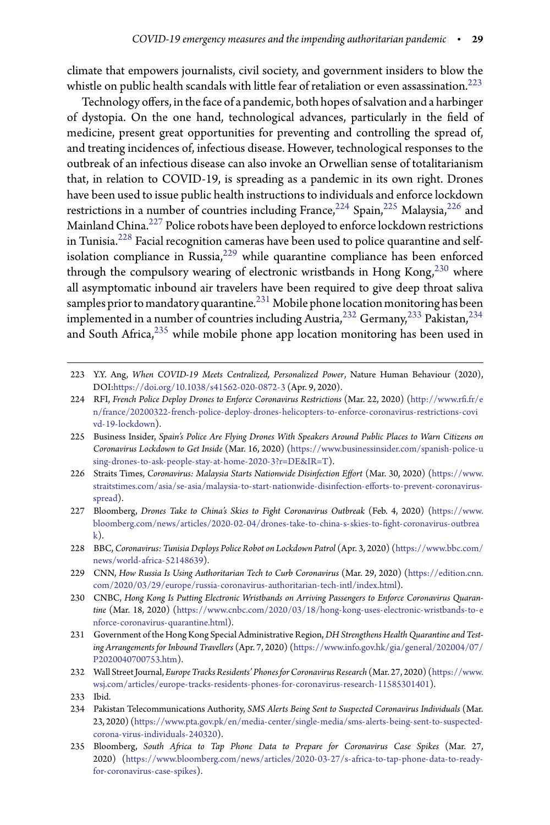climate that empowers journalists, civil society, and government insiders to blow the whistle on public health scandals with little fear of retaliation or even assassination.<sup>[223](#page-28-0)</sup>

Technology offers, in the face of a pandemic, both hopes of salvation and a harbinger of dystopia. On the one hand, technological advances, particularly in the field of medicine, present great opportunities for preventing and controlling the spread of, and treating incidences of, infectious disease. However, technological responses to the outbreak of an infectious disease can also invoke an Orwellian sense of totalitarianism that, in relation to COVID-19, is spreading as a pandemic in its own right. Drones have been used to issue public health instructions to individuals and enforce lockdown restrictions in a number of countries including France,  $224$  Spain,  $225$  Malaysia,  $226$  and Mainland China.<sup>[227](#page-28-4)</sup> Police robots have been deployed to enforce lockdown restrictions in Tunisia.[228](#page-28-5) Facial recognition cameras have been used to police quarantine and self-isolation compliance in Russia,<sup>[229](#page-28-6)</sup> while quarantine compliance has been enforced through the compulsory wearing of electronic wristbands in Hong Kong, $^{230}$  $^{230}$  $^{230}$  where all asymptomatic inbound air travelers have been required to give deep throat saliva samples prior to mandatory quarantine.<sup>[231](#page-28-8)</sup> Mobile phone location monitoring has been implemented in a number of countries including Austria,  $232$  Germany,  $233$  Pakistan,  $234$ and South Africa,  $235$  while mobile phone app location monitoring has been used in

- <span id="page-28-6"></span>229 CNN, *How Russia Is Using Authoritarian Tech to Curb Coronavirus* (Mar. 29, 2020) [\(https://edition.cnn.](https://edition.cnn.com/2020/03/29/europe/russia-coronavirus-authoritarian-tech-intl/index.html) [com/2020/03/29/europe/russia-coronavirus-authoritarian-tech-intl/index.html\)](https://edition.cnn.com/2020/03/29/europe/russia-coronavirus-authoritarian-tech-intl/index.html).
- <span id="page-28-7"></span>230 CNBC, *Hong Kong Is Putting Electronic Wristbands on Arriving Passengers to Enforce Coronavirus Quarantine* (Mar. 18, 2020) [\(https://www.cnbc.com/2020/03/18/hong-kong-uses-electronic-wristbands-to-e](https://www.cnbc.com/2020/03/18/hong-kong-uses-electronic-wristbands-to-enforce-coronavirus-quarantine.html) [nforce-coronavirus-quarantine.html\)](https://www.cnbc.com/2020/03/18/hong-kong-uses-electronic-wristbands-to-enforce-coronavirus-quarantine.html).
- <span id="page-28-8"></span>231 Government of the Hong Kong Special Administrative Region,*DH Strengthens Health Quarantine and Testing Arrangements for Inbound Travellers* (Apr. 7, 2020) [\(https://www.info.gov.hk/gia/general/202004/07/](https://www.info.gov.hk/gia/general/202004/07/P2020040700753.htm) [P2020040700753.htm\)](https://www.info.gov.hk/gia/general/202004/07/P2020040700753.htm).
- <span id="page-28-9"></span>232 Wall Street Journal, *Europe Tracks Residents' Phones for Coronavirus Research* (Mar. 27, 2020) [\(https://www.](https://www.wsj.com/articles/europe-tracks-residents-phones-for-coronavirus-research-11585301401) [wsj.com/articles/europe-tracks-residents-phones-for-coronavirus-research-11585301401\)](https://www.wsj.com/articles/europe-tracks-residents-phones-for-coronavirus-research-11585301401).

- <span id="page-28-11"></span><span id="page-28-10"></span>234 Pakistan Telecommunications Authority, *SMS Alerts Being Sent to Suspected Coronavirus Individuals* (Mar. 23, 2020) [\(https://www.pta.gov.pk/en/media-center/single-media/sms-alerts-being-sent-to-suspected](https://www.pta.gov.pk/en/media-center/single-media/sms-alerts-being-sent-to-suspected-corona-virus-individuals-240320)[corona-virus-individuals-240320\)](https://www.pta.gov.pk/en/media-center/single-media/sms-alerts-being-sent-to-suspected-corona-virus-individuals-240320).
- <span id="page-28-12"></span>235 Bloomberg, *South Aica to Tap Phone Data to Prepare for Coronavirus Case Spikes* (Mar. 27, 2020) [\(https://www.bloomberg.com/news/articles/2020-03-27/s-africa-to-tap-phone-data-to-ready](https://www.bloomberg.com/news/articles/2020-03-27/s-africa-to-tap-phone-data-to-ready-for-coronavirus-case-spikes)[for-coronavirus-case-spikes\)](https://www.bloomberg.com/news/articles/2020-03-27/s-africa-to-tap-phone-data-to-ready-for-coronavirus-case-spikes).

<span id="page-28-0"></span><sup>223</sup> Y.Y. Ang, *When COVID-19 Meets Centralized, Personalized Power*, Nature Human Behaviour (2020), DOI[:https://doi.org/10.1038/s41562-020-0872-3](https://doi.org/10.1038/s41562-020-0872-3) (Apr. 9, 2020).

<span id="page-28-1"></span><sup>224</sup> RFI, *French Police Deploy Drones to Enforce Coronavirus Restrictions* (Mar. 22, 2020) (http://www.rfi.fr/e [n/france/20200322-french-police-deploy-drones-helicopters-to-enforce-coronavirus-restrictions-covi](http://www.rfi.fr/en/france/20200322-french-police-deploy-drones-helicopters-to-enforce-coronavirus-restrictions-covivd-19-lockdown) [vd-19-lockdown\)](http://www.rfi.fr/en/france/20200322-french-police-deploy-drones-helicopters-to-enforce-coronavirus-restrictions-covivd-19-lockdown).

<span id="page-28-2"></span><sup>225</sup> Business Insider, *Spain's Police Are Flying Drones With Speakers Around Public Places to Warn Citizens on Coronavirus Lockdown to Get Inside* (Mar. 16, 2020) [\(https://www.businessinsider.com/spanish-police-u](https://www.businessinsider.com/spanish-police-using-drones-to-ask-people-stay-at-home-2020-3?r=DE&IR=T) [sing-drones-to-ask-people-stay-at-home-2020-3?r=DE&IR=T\)](https://www.businessinsider.com/spanish-police-using-drones-to-ask-people-stay-at-home-2020-3?r=DE&IR=T).

<span id="page-28-3"></span><sup>226</sup> Straits Times, *Coronavirus: Malaysia Starts Nationwide Disinfection Effort* (Mar. 30, 2020) [\(https://www.](https://www.straitstimes.com/asia/se-asia/malaysia-to-start-nationwide-disinfection-efforts-to-prevent-coronavirus-spread) straitstimes.com/asia/se-asia/malaysia-to-start-nationwide-disinfection-efforts-to-prevent-coronavirus[spread\)](https://www.straitstimes.com/asia/se-asia/malaysia-to-start-nationwide-disinfection-efforts-to-prevent-coronavirus-spread).

<span id="page-28-4"></span><sup>227</sup> Bloomberg, *Drones Take to China's Skies to Fight Coronavirus Outbreak* (Feb. 4, 2020) [\(https://www.](https://www.bloomberg.com/news/articles/2020-02-04/drones-take-to-china-s-skies-to-fight-coronavirus-outbreak) [bloomberg.com/news/articles/2020-02-04/drones-take-to-china-s-skies-to--](https://www.bloomberg.com/news/articles/2020-02-04/drones-take-to-china-s-skies-to-fight-coronavirus-outbreak)ght-coronavirus-outbrea  $k$ ).

<span id="page-28-5"></span><sup>228</sup> BBC, *Coronavirus: Tunisia Deploys Police Robot on Lockdown Patrol* (Apr. 3, 2020) [\(https://www.bbc.com/](https://www.bbc.com/news/world-africa-52148639) [news/world-africa-52148639\)](https://www.bbc.com/news/world-africa-52148639).

<sup>233</sup> Ibid.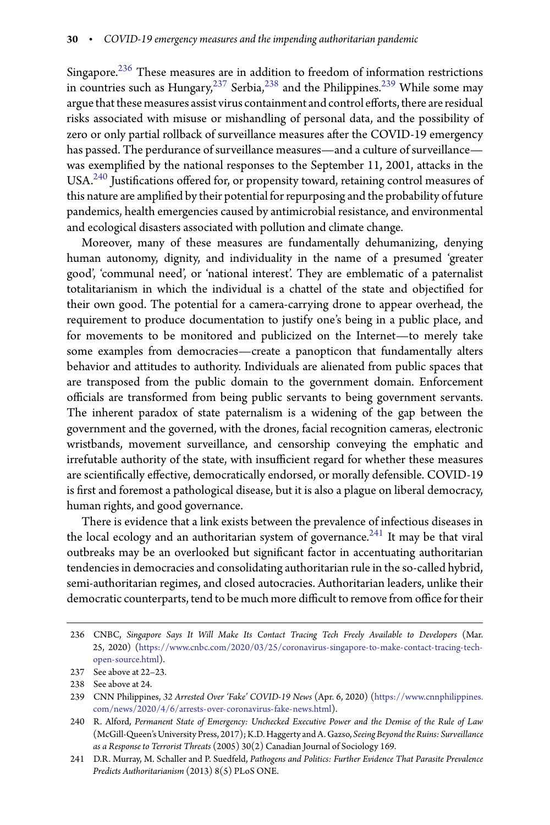Singapore.[236](#page-29-0) These measures are in addition to freedom of information restrictions in countries such as  $\text{Hungary}^{237}$  $\text{Hungary}^{237}$  $\text{Hungary}^{237}$  Serbia,<sup>[238](#page-29-2)</sup> and the Philippines.<sup>[239](#page-29-3)</sup> While some may argue that these measures assist virus containment and control efforts, there are residual risks associated with misuse or mishandling of personal data, and the possibility of zero or only partial rollback of surveillance measures after the COVID-19 emergency has passed. The perdurance of surveillance measures—and a culture of surveillance was exemplified by the national responses to the September 11, 2001, attacks in the  $USA.<sup>240</sup>$  $USA.<sup>240</sup>$  $USA.<sup>240</sup>$  Justifications offered for, or propensity toward, retaining control measures of this nature are amplified by their potential for repurposing and the probability of future pandemics, health emergencies caused by antimicrobial resistance, and environmental and ecological disasters associated with pollution and climate change.

Moreover, many of these measures are fundamentally dehumanizing, denying human autonomy, dignity, and individuality in the name of a presumed 'greater good', 'communal need', or 'national interest'. They are emblematic of a paternalist totalitarianism in which the individual is a chattel of the state and objectified for their own good. The potential for a camera-carrying drone to appear overhead, the requirement to produce documentation to justify one's being in a public place, and for movements to be monitored and publicized on the Internet—to merely take some examples from democracies—create a panopticon that fundamentally alters behavior and attitudes to authority. Individuals are alienated from public spaces that are transposed from the public domain to the government domain. Enforcement officials are transformed from being public servants to being government servants. The inherent paradox of state paternalism is a widening of the gap between the government and the governed, with the drones, facial recognition cameras, electronic wristbands, movement surveillance, and censorship conveying the emphatic and irrefutable authority of the state, with insufficient regard for whether these measures are scientifically effective, democratically endorsed, or morally defensible. COVID-19 is first and foremost a pathological disease, but it is also a plague on liberal democracy, human rights, and good governance.

There is evidence that a link exists between the prevalence of infectious diseases in the local ecology and an authoritarian system of governance.<sup>[241](#page-29-5)</sup> It may be that viral outbreaks may be an overlooked but significant factor in accentuating authoritarian tendencies in democracies and consolidating authoritarian rule in the so-called hybrid, semi-authoritarian regimes, and closed autocracies. Authoritarian leaders, unlike their democratic counterparts, tend to be much more difficult to remove from office for their

<span id="page-29-0"></span><sup>236</sup> CNBC, *Singapore Says It Will Make Its Contact Tracing Tech Freely Available to Developers* (Mar. 25, 2020) [\(https://www.cnbc.com/2020/03/25/coronavirus-singapore-to-make-contact-tracing-tech](https://www.cnbc.com/2020/03/25/coronavirus-singapore-to-make-contact-tracing-tech-open-source.html)[open-source.html\)](https://www.cnbc.com/2020/03/25/coronavirus-singapore-to-make-contact-tracing-tech-open-source.html).

<sup>237</sup> See above at 22–23.

<span id="page-29-1"></span><sup>238</sup> See above at 24.

<span id="page-29-3"></span><span id="page-29-2"></span><sup>239</sup> CNN Philippines, *32 Arrested Over 'Fake' COVID-19 News* (Apr. 6, 2020) [\(https://www.cnnphilippines.](https://www.cnnphilippines.com/news/2020/4/6/arrests-over-coronavirus-fake-news.html) [com/news/2020/4/6/arrests-over-coronavirus-fake-news.html\)](https://www.cnnphilippines.com/news/2020/4/6/arrests-over-coronavirus-fake-news.html).

<span id="page-29-4"></span><sup>240</sup> R. Alford, *Permanent State of Emergency: Unchecked Executive Power and the Demise of the Rule of Law* (McGill-Queen's University Press, 2017); K.D. Haggerty and A. Gazso, *Seeing Beyond the Ruins: Surveillance as a Response to Terrorist Threats* (2005) 30(2) Canadian Journal of Sociology 169.

<span id="page-29-5"></span><sup>241</sup> D.R. Murray, M. Schaller and P. Suedfeld, *Pathogens and Politics: Further Evidence That Parasite Prevalence Predicts Authoritarianism* (2013) 8(5) PLoS ONE.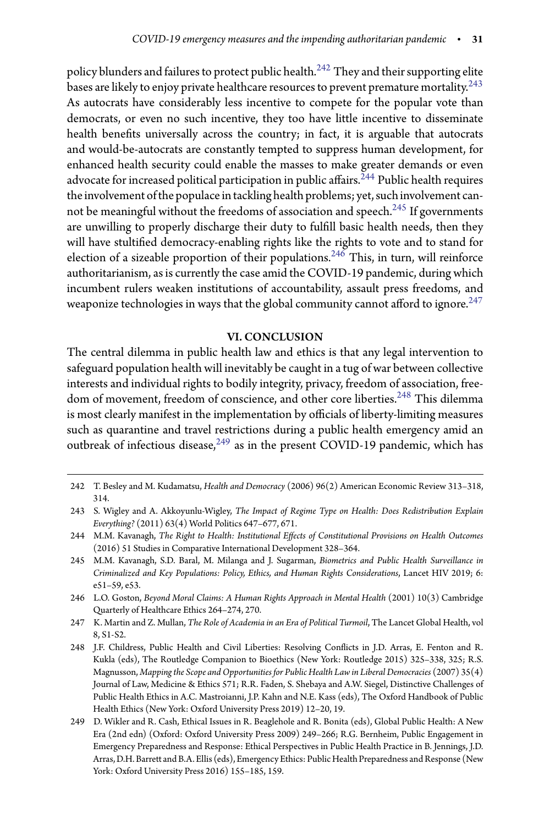policy blunders and failures to protect public health.<sup>[242](#page-30-0)</sup> They and their supporting elite bases are likely to enjoy private healthcare resources to prevent premature mortality.<sup>[243](#page-30-1)</sup> As autocrats have considerably less incentive to compete for the popular vote than democrats, or even no such incentive, they too have little incentive to disseminate health benefits universally across the country; in fact, it is arguable that autocrats and would-be-autocrats are constantly tempted to suppress human development, for enhanced health security could enable the masses to make greater demands or even advocate for increased political participation in public affairs.<sup>[244](#page-30-2)</sup> Public health requires the involvement of the populace in tackling health problems; yet, such involvement cannot be meaningful without the freedoms of association and speech. $245$  If governments are unwilling to properly discharge their duty to fulfill basic health needs, then they will have stultified democracy-enabling rights like the rights to vote and to stand for election of a sizeable proportion of their populations.<sup>[246](#page-30-4)</sup> This, in turn, will reinforce authoritarianism, as is currently the case amid the COVID-19 pandemic, during which incumbent rulers weaken institutions of accountability, assault press freedoms, and weaponize technologies in ways that the global community cannot afford to ignore.<sup>[247](#page-30-5)</sup>

# VI. CONCLUSION

The central dilemma in public health law and ethics is that any legal intervention to safeguard population health will inevitably be caught in a tug of war between collective interests and individual rights to bodily integrity, privacy, freedom of association, free-dom of movement, freedom of conscience, and other core liberties.<sup>[248](#page-30-6)</sup> This dilemma is most clearly manifest in the implementation by officials of liberty-limiting measures such as quarantine and travel restrictions during a public health emergency amid an outbreak of infectious disease,<sup>[249](#page-30-7)</sup> as in the present COVID-19 pandemic, which has

<span id="page-30-0"></span><sup>242</sup> T. Besley and M. Kudamatsu, *Health and Democracy* (2006) 96(2) American Economic Review 313–318, 314.

<span id="page-30-1"></span><sup>243</sup> S. Wigley and A. Akkoyunlu-Wigley, *The Impact of Regime Type on Health: Does Redistribution Explain Everything?* (2011) 63(4) World Politics 647–677, 671.

<span id="page-30-2"></span><sup>244</sup> M.M. Kavanagh, *The Right to Health: Institutional Effects of Constitutional Provisions on Health Outcomes* (2016) 51 Studies in Comparative International Development 328–364.

<span id="page-30-3"></span><sup>245</sup> M.M. Kavanagh, S.D. Baral, M. Milanga and J. Sugarman, *Biometrics and Public Health Surveillance in Criminalized and Key Populations: Policy, Ethics, and Human Rights Considerations*, Lancet HIV 2019; 6: e51–59, e53.

<span id="page-30-4"></span><sup>246</sup> L.O. Goston, *Beyond Moral Claims: A Human Rights Approach in Mental Health* (2001) 10(3) Cambridge Quarterly of Healthcare Ethics 264–274, 270.

<span id="page-30-5"></span><sup>247</sup> K. Martin and Z. Mullan, *The Role of Academia in an Era of Political Turmoil*, The Lancet Global Health, vol 8, S1-S2.

<span id="page-30-6"></span><sup>248</sup> J.F. Childress, Public Health and Civil Liberties: Resolving Conflicts in J.D. Arras, E. Fenton and R. Kukla (eds), The Routledge Companion to Bioethics (New York: Routledge 2015) 325–338, 325; R.S. Magnusson, *Mapping the Scope and Opportunities for Public Health Law in Liberal Democracies* (2007) 35(4) Journal of Law, Medicine & Ethics 571; R.R. Faden, S. Shebaya and A.W. Siegel, Distinctive Challenges of Public Health Ethics in A.C. Mastroianni, J.P. Kahn and N.E. Kass (eds), The Oxford Handbook of Public Health Ethics (New York: Oxford University Press 2019) 12–20, 19.

<span id="page-30-7"></span><sup>249</sup> D. Wikler and R. Cash, Ethical Issues in R. Beaglehole and R. Bonita (eds), Global Public Health: A New Era (2nd edn) (Oxford: Oxford University Press 2009) 249–266; R.G. Bernheim, Public Engagement in Emergency Preparedness and Response: Ethical Perspectives in Public Health Practice in B. Jennings, J.D. Arras, D.H. Barrett and B.A. Ellis (eds), Emergency Ethics: Public Health Preparedness and Response (New York: Oxford University Press 2016) 155–185, 159.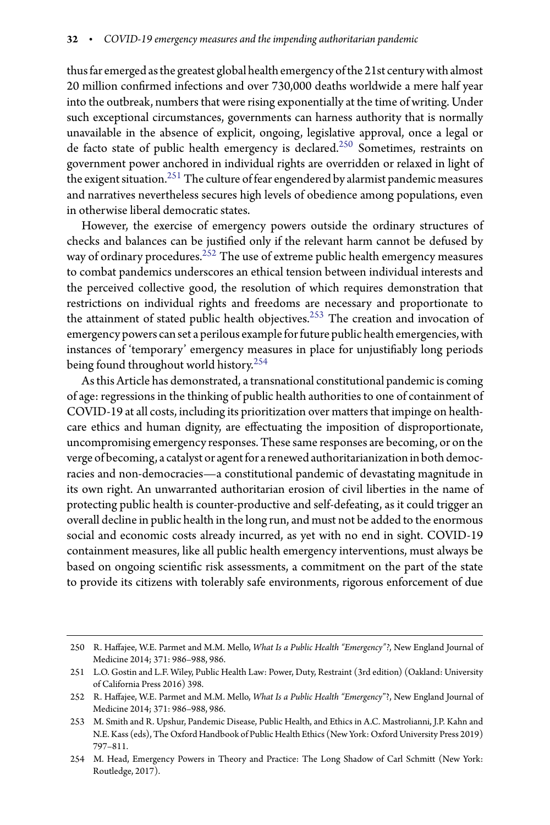thus far emerged asthe greatest global health emergency ofthe 21st century with almost 20 million confirmed infections and over 730,000 deaths worldwide a mere half year into the outbreak, numbers that were rising exponentially at the time of writing. Under such exceptional circumstances, governments can harness authority that is normally unavailable in the absence of explicit, ongoing, legislative approval, once a legal or de facto state of public health emergency is declared.[250](#page-31-0) Sometimes, restraints on government power anchored in individual rights are overridden or relaxed in light of the exigent situation.[251](#page-31-1) The culture of fear engendered by alarmist pandemic measures and narratives nevertheless secures high levels of obedience among populations, even in otherwise liberal democratic states.

However, the exercise of emergency powers outside the ordinary structures of checks and balances can be justified only if the relevant harm cannot be defused by way of ordinary procedures.<sup>[252](#page-31-2)</sup> The use of extreme public health emergency measures to combat pandemics underscores an ethical tension between individual interests and the perceived collective good, the resolution of which requires demonstration that restrictions on individual rights and freedoms are necessary and proportionate to the attainment of stated public health objectives.<sup>[253](#page-31-3)</sup> The creation and invocation of emergency powers can set a perilous example for future public health emergencies, with instances of 'temporary' emergency measures in place for unjustifiably long periods being found throughout world history.[254](#page-31-4)

As this Article has demonstrated, a transnational constitutional pandemic is coming of age: regressions in the thinking of public health authorities to one of containment of COVID-19 at all costs, including its prioritization over matters that impinge on healthcare ethics and human dignity, are effectuating the imposition of disproportionate, uncompromising emergency responses. These same responses are becoming, or on the verge of becoming, a catalyst or agent for a renewed authoritarianization in both democracies and non-democracies—a constitutional pandemic of devastating magnitude in its own right. An unwarranted authoritarian erosion of civil liberties in the name of protecting public health is counter-productive and self-defeating, as it could trigger an overall decline in public health in the long run, and must not be added to the enormous social and economic costs already incurred, as yet with no end in sight. COVID-19 containment measures, like all public health emergency interventions, must always be based on ongoing scientific risk assessments, a commitment on the part of the state to provide its citizens with tolerably safe environments, rigorous enforcement of due

<span id="page-31-0"></span><sup>250</sup> R. Haffajee, W.E. Parmet and M.M. Mello, What Is a Public Health "Emergency"?, New England Journal of Medicine 2014; 371: 986–988, 986.

<span id="page-31-1"></span><sup>251</sup> L.O. Gostin and L.F. Wiley, Public Health Law: Power, Duty, Restraint (3rd edition) (Oakland: University of California Press 2016) 398.

<span id="page-31-2"></span><sup>252</sup> R. Haajee, W.E. Parmet and M.M. Mello, *What Is a Public Health "Emergency*"?, New England Journal of Medicine 2014; 371: 986–988, 986.

<span id="page-31-3"></span><sup>253</sup> M. Smith and R. Upshur, Pandemic Disease, Public Health, and Ethics in A.C. Mastrolianni, J.P. Kahn and N.E. Kass (eds), The Oxford Handbook of Public Health Ethics (New York: Oxford University Press 2019) 797–811.

<span id="page-31-4"></span><sup>254</sup> M. Head, Emergency Powers in Theory and Practice: The Long Shadow of Carl Schmitt (New York: Routledge, 2017).